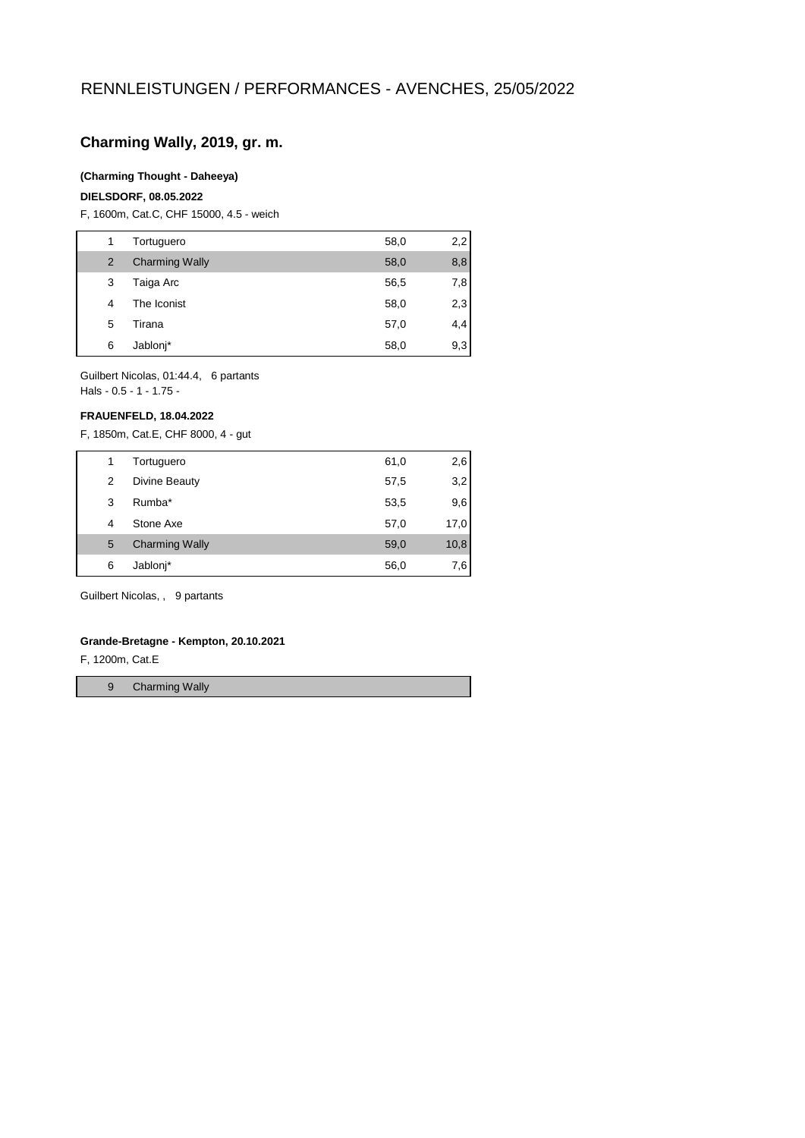# **Charming Wally, 2019, gr. m.**

### **(Charming Thought - Daheeya)**

## **DIELSDORF, 08.05.2022**

F, 1600m, Cat.C, CHF 15000, 4.5 - weich

| 1 | Tortuguero            | 58,0 | 2,2 |
|---|-----------------------|------|-----|
| 2 | <b>Charming Wally</b> | 58,0 | 8,8 |
| 3 | Taiga Arc             | 56,5 | 7,8 |
| 4 | The Iconist           | 58,0 | 2,3 |
| 5 | Tirana                | 57,0 | 4,4 |
| 6 | Jablonj*              | 58,0 | 9,3 |

Guilbert Nicolas, 01:44.4, 6 partants Hals - 0.5 - 1 - 1.75 -

#### **FRAUENFELD, 18.04.2022**

F, 1850m, Cat.E, CHF 8000, 4 - gut

| 1 | Tortuguero            | 61,0 | 2,6  |
|---|-----------------------|------|------|
| 2 | Divine Beauty         | 57,5 | 3,2  |
| 3 | Rumba*                | 53,5 | 9,6  |
| 4 | Stone Axe             | 57,0 | 17,0 |
| 5 | <b>Charming Wally</b> | 59,0 | 10,8 |
| 6 | Jablonj*              | 56,0 | 7,6  |
|   |                       |      |      |

Guilbert Nicolas, , 9 partants

#### **Grande-Bretagne - Kempton, 20.10.2021**

F, 1200m, Cat.E

9 Charming Wally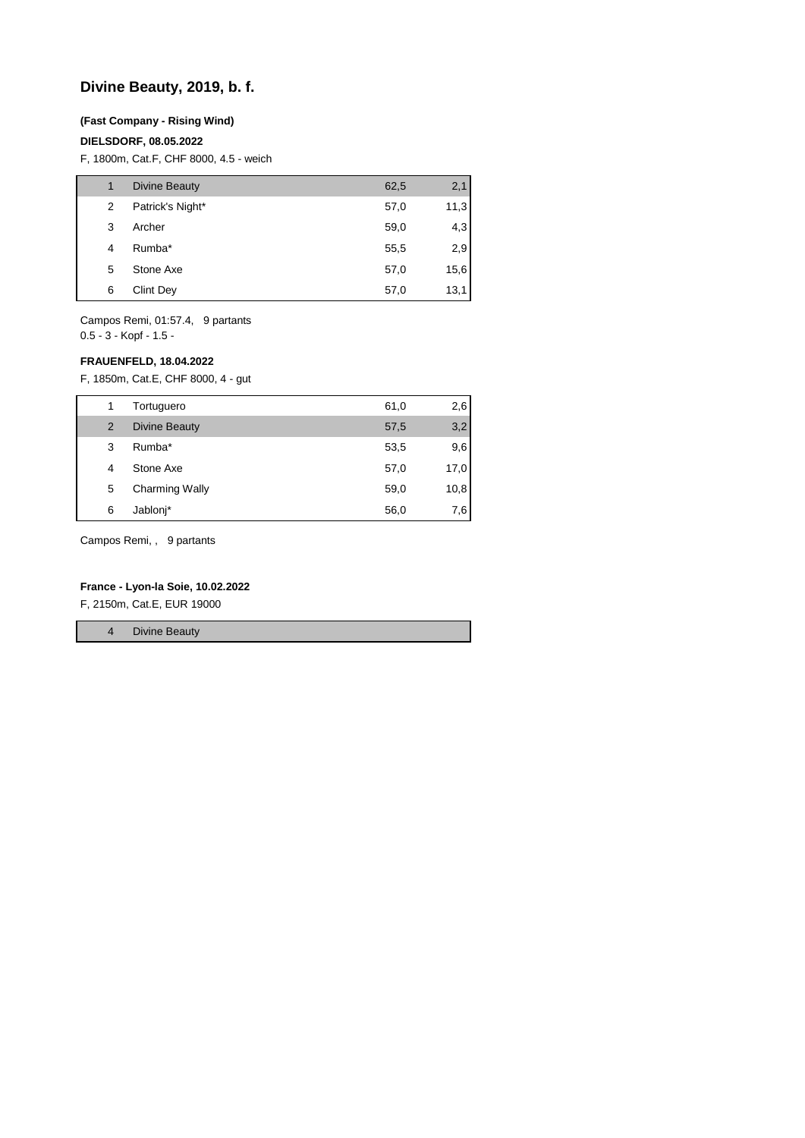# **Divine Beauty, 2019, b. f.**

#### **(Fast Company - Rising Wind)**

## **DIELSDORF, 08.05.2022**

F, 1800m, Cat.F, CHF 8000, 4.5 - weich

| 1 | <b>Divine Beauty</b> | 62,5 | 2,1  |
|---|----------------------|------|------|
| 2 | Patrick's Night*     | 57,0 | 11,3 |
| 3 | Archer               | 59,0 | 4,3  |
| 4 | Rumba*               | 55,5 | 2,9  |
| 5 | Stone Axe            | 57,0 | 15,6 |
| 6 | <b>Clint Dey</b>     | 57,0 | 13,1 |

Campos Remi, 01:57.4, 9 partants 0.5 - 3 - Kopf - 1.5 -

## **FRAUENFELD, 18.04.2022**

F, 1850m, Cat.E, CHF 8000, 4 - gut

| 1 | Tortuguero            | 61,0 | 2,6  |
|---|-----------------------|------|------|
| 2 | <b>Divine Beauty</b>  | 57,5 | 3,2  |
| 3 | Rumba*                | 53,5 | 9,6  |
| 4 | Stone Axe             | 57,0 | 17,0 |
| 5 | <b>Charming Wally</b> | 59,0 | 10,8 |
| 6 | Jablonj*              | 56,0 | 7,6  |

Campos Remi, , 9 partants

### **France - Lyon-la Soie, 10.02.2022**

F, 2150m, Cat.E, EUR 19000

4 Divine Beauty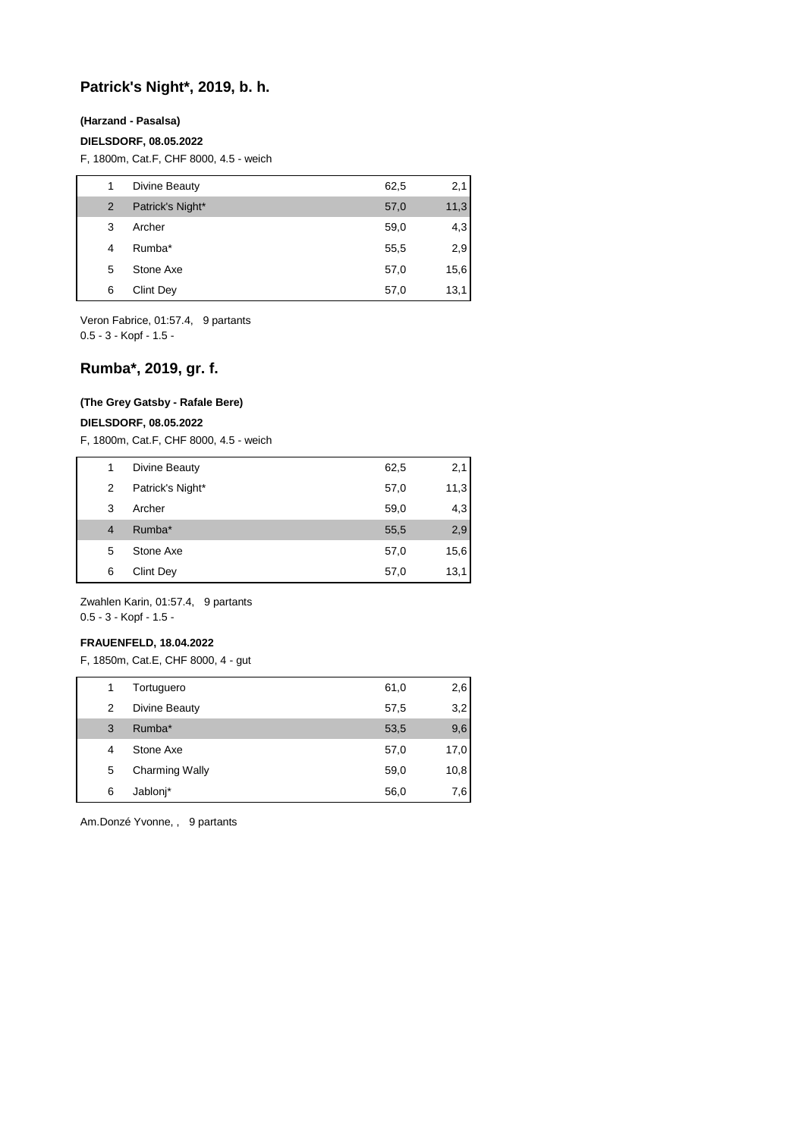# **Patrick's Night\*, 2019, b. h.**

#### **(Harzand - Pasalsa)**

#### **DIELSDORF, 08.05.2022**

F, 1800m, Cat.F, CHF 8000, 4.5 - weich

| 1 | Divine Beauty    | 62,5 | 2,1  |
|---|------------------|------|------|
| 2 | Patrick's Night* | 57,0 | 11,3 |
| 3 | Archer           | 59,0 | 4,3  |
| 4 | Rumba*           | 55,5 | 2,9  |
| 5 | Stone Axe        | 57,0 | 15,6 |
| 6 | <b>Clint Dey</b> | 57,0 | 13,1 |

Veron Fabrice, 01:57.4, 9 partants 0.5 - 3 - Kopf - 1.5 -

# **Rumba\*, 2019, gr. f.**

#### **(The Grey Gatsby - Rafale Bere)**

**DIELSDORF, 08.05.2022**

F, 1800m, Cat.F, CHF 8000, 4.5 - weich

| 1 | Divine Beauty    | 62,5 | 2,1  |
|---|------------------|------|------|
| 2 | Patrick's Night* | 57,0 | 11,3 |
| 3 | Archer           | 59,0 | 4,3  |
| 4 | Rumba*           | 55,5 | 2,9  |
| 5 | Stone Axe        | 57,0 | 15,6 |
| 6 | <b>Clint Dey</b> | 57,0 | 13,1 |

Zwahlen Karin, 01:57.4, 9 partants 0.5 - 3 - Kopf - 1.5 -

### **FRAUENFELD, 18.04.2022**

F, 1850m, Cat.E, CHF 8000, 4 - gut

| 1 | Tortuguero            | 61,0 | 2,6  |
|---|-----------------------|------|------|
| 2 | Divine Beauty         | 57,5 | 3,2  |
| 3 | Rumba*                | 53,5 | 9,6  |
| 4 | Stone Axe             | 57,0 | 17,0 |
| 5 | <b>Charming Wally</b> | 59,0 | 10,8 |
| 6 | Jablonj*              | 56,0 | 7.6  |

Am.Donzé Yvonne, , 9 partants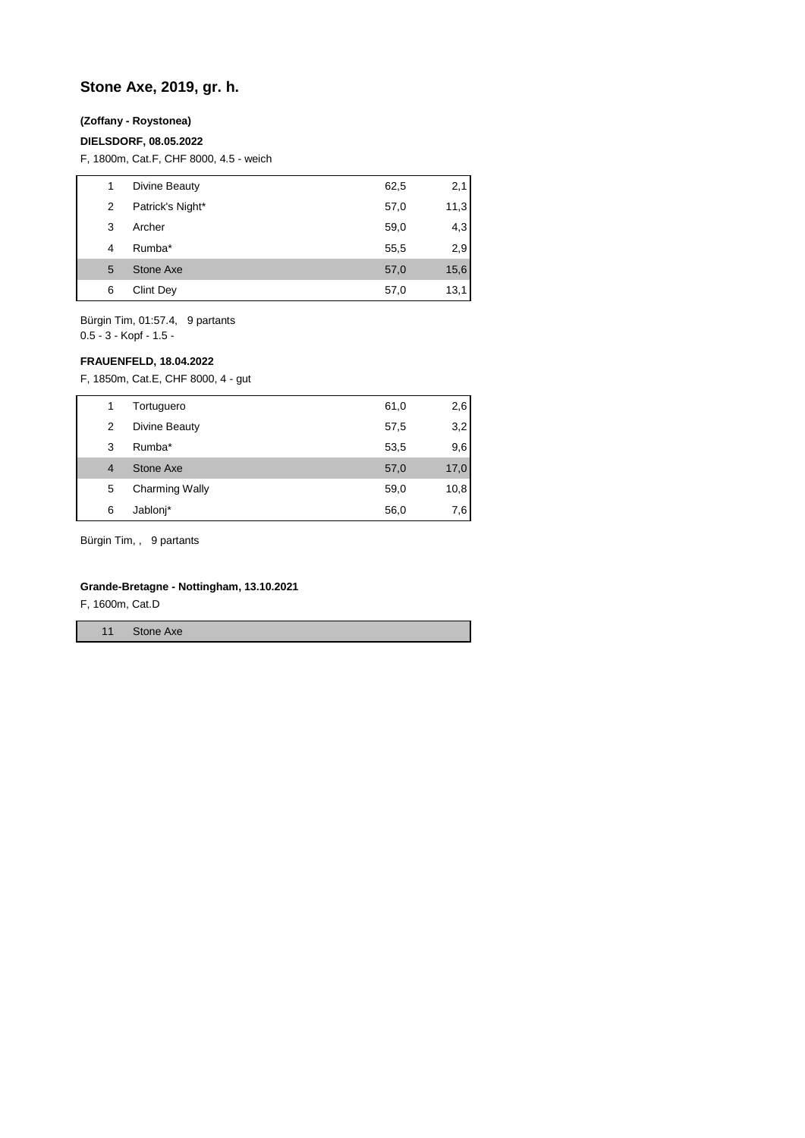# **Stone Axe, 2019, gr. h.**

## **(Zoffany - Roystonea)**

### **DIELSDORF, 08.05.2022**

F, 1800m, Cat.F, CHF 8000, 4.5 - weich

| 1 | Divine Beauty    | 62,5 | 2,1  |
|---|------------------|------|------|
| 2 | Patrick's Night* | 57,0 | 11,3 |
| 3 | Archer           | 59,0 | 4,3  |
| 4 | Rumba*           | 55,5 | 2,9  |
| 5 | Stone Axe        | 57,0 | 15,6 |
| 6 | <b>Clint Dey</b> | 57,0 | 13,1 |

Bürgin Tim, 01:57.4, 9 partants 0.5 - 3 - Kopf - 1.5 -

### **FRAUENFELD, 18.04.2022**

F, 1850m, Cat.E, CHF 8000, 4 - gut

|   | Tortuguero            | 61,0 | 2,6  |
|---|-----------------------|------|------|
| 2 | Divine Beauty         | 57,5 | 3,2  |
| 3 | Rumba*                | 53,5 | 9,6  |
| 4 | Stone Axe             | 57,0 | 17,0 |
| 5 | <b>Charming Wally</b> | 59,0 | 10,8 |
| 6 | Jablonj*              | 56,0 | 7,6  |

Bürgin Tim, , 9 partants

## **Grande-Bretagne - Nottingham, 13.10.2021**

F, 1600m, Cat.D

11 Stone Axe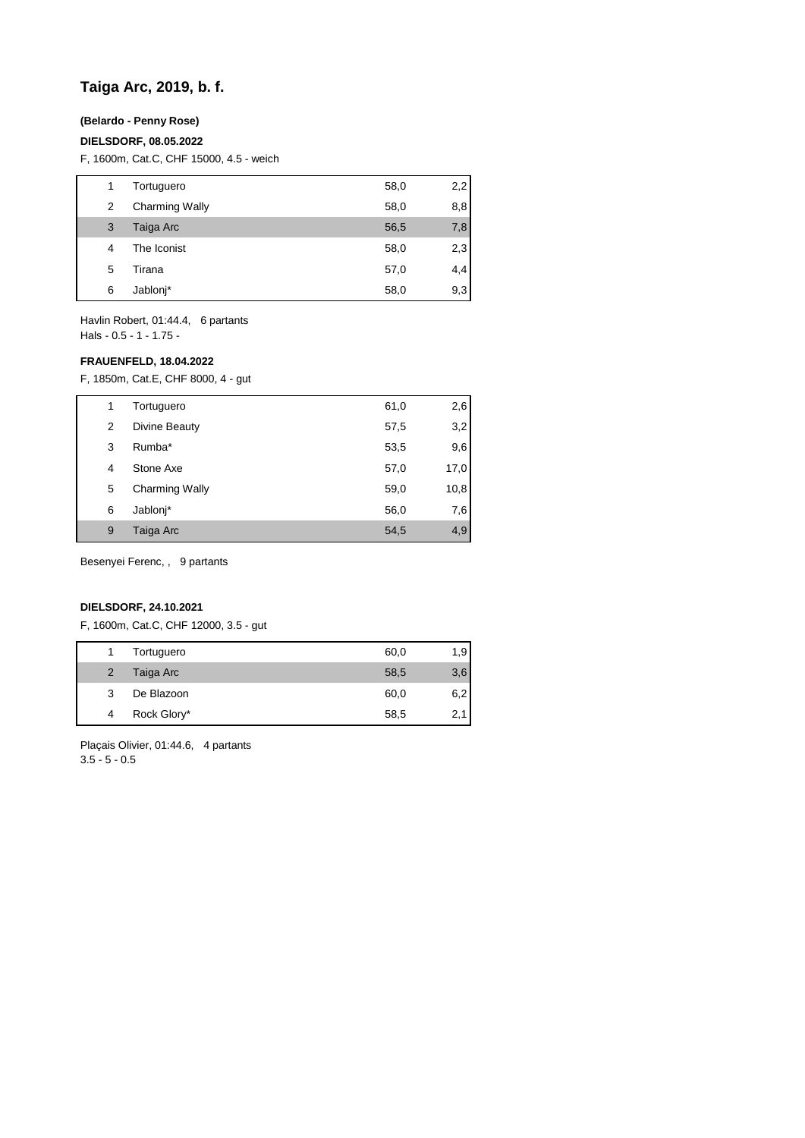# **Taiga Arc, 2019, b. f.**

## **(Belardo - Penny Rose)**

#### **DIELSDORF, 08.05.2022**

F, 1600m, Cat.C, CHF 15000, 4.5 - weich

| 1 | Tortuguero            | 58,0 | 2,2 |
|---|-----------------------|------|-----|
| 2 | <b>Charming Wally</b> | 58,0 | 8,8 |
| 3 | Taiga Arc             | 56,5 | 7,8 |
| 4 | The Iconist           | 58,0 | 2,3 |
| 5 | Tirana                | 57,0 | 4,4 |
| 6 | Jablonj*              | 58,0 | 9,3 |

Havlin Robert, 01:44.4, 6 partants Hals - 0.5 - 1 - 1.75 -

## **FRAUENFELD, 18.04.2022**

F, 1850m, Cat.E, CHF 8000, 4 - gut

|   | Tortuguero            | 61,0 | 2,6  |
|---|-----------------------|------|------|
| 2 | Divine Beauty         | 57,5 | 3,2  |
| 3 | Rumba*                | 53,5 | 9,6  |
| 4 | Stone Axe             | 57,0 | 17,0 |
| 5 | <b>Charming Wally</b> | 59,0 | 10,8 |
| 6 | Jablonj*              | 56,0 | 7,6  |
| 9 | Taiga Arc             | 54,5 | 4,9  |

Besenyei Ferenc, , 9 partants

#### **DIELSDORF, 24.10.2021**

F, 1600m, Cat.C, CHF 12000, 3.5 - gut

|                | Tortuguero  | 60,0 | 1,9 |
|----------------|-------------|------|-----|
| $\overline{2}$ | Taiga Arc   | 58,5 | 3,6 |
| 3              | De Blazoon  | 60,0 | 6,2 |
| 4              | Rock Glory* | 58,5 |     |

Plaçais Olivier, 01:44.6, 4 partants 3.5 - 5 - 0.5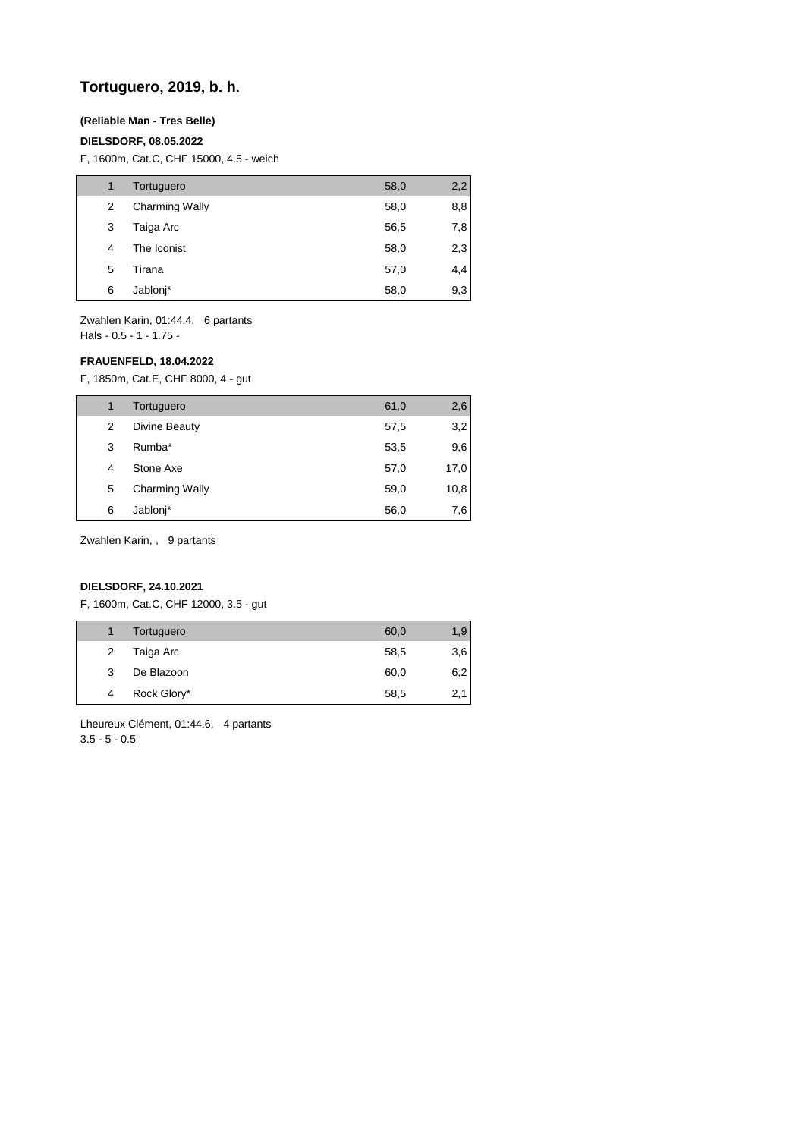# **Tortuguero, 2019, b. h.**

### **(Reliable Man - Tres Belle)**

### **DIELSDORF, 08.05.2022**

F, 1600m, Cat.C, CHF 15000, 4.5 - weich

| 1 | Tortuguero            | 58,0 | 2,2 |
|---|-----------------------|------|-----|
| 2 | <b>Charming Wally</b> | 58,0 | 8,8 |
| 3 | Taiga Arc             | 56,5 | 7,8 |
| 4 | The Iconist           | 58,0 | 2,3 |
| 5 | Tirana                | 57,0 | 4,4 |
| 6 | Jablonj*              | 58,0 | 9,3 |

Zwahlen Karin, 01:44.4, 6 partants Hals - 0.5 - 1 - 1.75 -

### **FRAUENFELD, 18.04.2022**

F, 1850m, Cat.E, CHF 8000, 4 - gut

| 1 | Tortuguero            | 61,0 | 2,6  |
|---|-----------------------|------|------|
| 2 | Divine Beauty         | 57,5 | 3,2  |
| 3 | Rumba*                | 53,5 | 9,6  |
| 4 | Stone Axe             | 57,0 | 17,0 |
| 5 | <b>Charming Wally</b> | 59,0 | 10,8 |
| 6 | Jablonj*              | 56,0 | 7,6  |

Zwahlen Karin, , 9 partants

## **DIELSDORF, 24.10.2021**

F, 1600m, Cat.C, CHF 12000, 3.5 - gut

|   | Tortuguero  | 60,0 | 1,9 |
|---|-------------|------|-----|
| 2 | Taiga Arc   | 58,5 | 3,6 |
| 3 | De Blazoon  | 60,0 | 6,2 |
| 4 | Rock Glory* | 58,5 | 2,1 |
|   |             |      |     |

Lheureux Clément, 01:44.6, 4 partants 3.5 - 5 - 0.5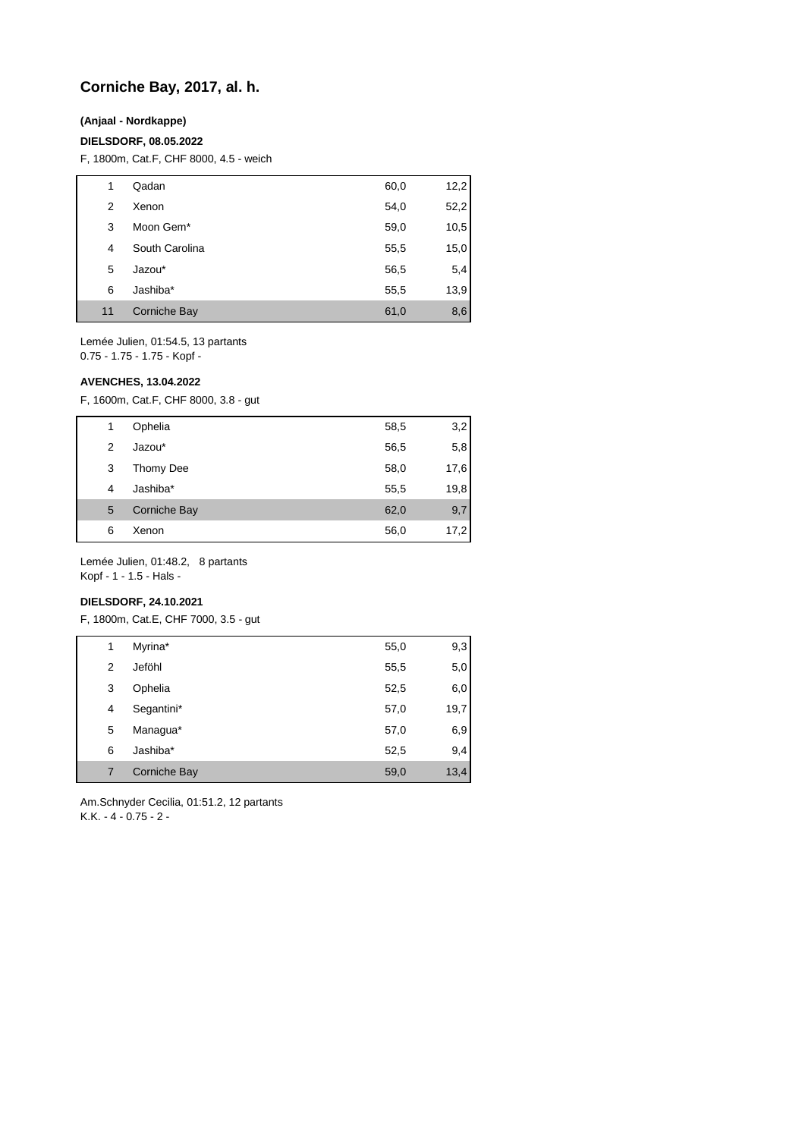# **Corniche Bay, 2017, al. h.**

### **(Anjaal - Nordkappe)**

#### **DIELSDORF, 08.05.2022**

F, 1800m, Cat.F, CHF 8000, 4.5 - weich

| 1  | Qadan          | 60,0 | 12,2 |
|----|----------------|------|------|
| 2  | Xenon          | 54,0 | 52,2 |
| 3  | Moon Gem*      | 59,0 | 10,5 |
| 4  | South Carolina | 55,5 | 15,0 |
| 5  | Jazou*         | 56,5 | 5,4  |
| 6  | Jashiba*       | 55,5 | 13,9 |
| 11 | Corniche Bay   | 61,0 | 8,6  |

Lemée Julien, 01:54.5, 13 partants 0.75 - 1.75 - 1.75 - Kopf -

#### **AVENCHES, 13.04.2022**

F, 1600m, Cat.F, CHF 8000, 3.8 - gut

| 1 | Ophelia      | 58,5 | 3,2  |
|---|--------------|------|------|
| 2 | Jazou*       | 56,5 | 5,8  |
| 3 | Thomy Dee    | 58,0 | 17,6 |
| 4 | Jashiba*     | 55,5 | 19,8 |
| 5 | Corniche Bay | 62,0 | 9,7  |
| 6 | Xenon        | 56,0 | 17,2 |

Lemée Julien, 01:48.2, 8 partants Kopf - 1 - 1.5 - Hals -

### **DIELSDORF, 24.10.2021**

F, 1800m, Cat.E, CHF 7000, 3.5 - gut

| 1 | Myrina*      | 55,0 | 9,3  |
|---|--------------|------|------|
| 2 | Jeföhl       | 55,5 | 5,0  |
| 3 | Ophelia      | 52,5 | 6,0  |
| 4 | Segantini*   | 57,0 | 19,7 |
| 5 | Managua*     | 57,0 | 6,9  |
| 6 | Jashiba*     | 52,5 | 9,4  |
| 7 | Corniche Bay | 59,0 | 13,4 |

Am.Schnyder Cecilia, 01:51.2, 12 partants K.K. - 4 - 0.75 - 2 -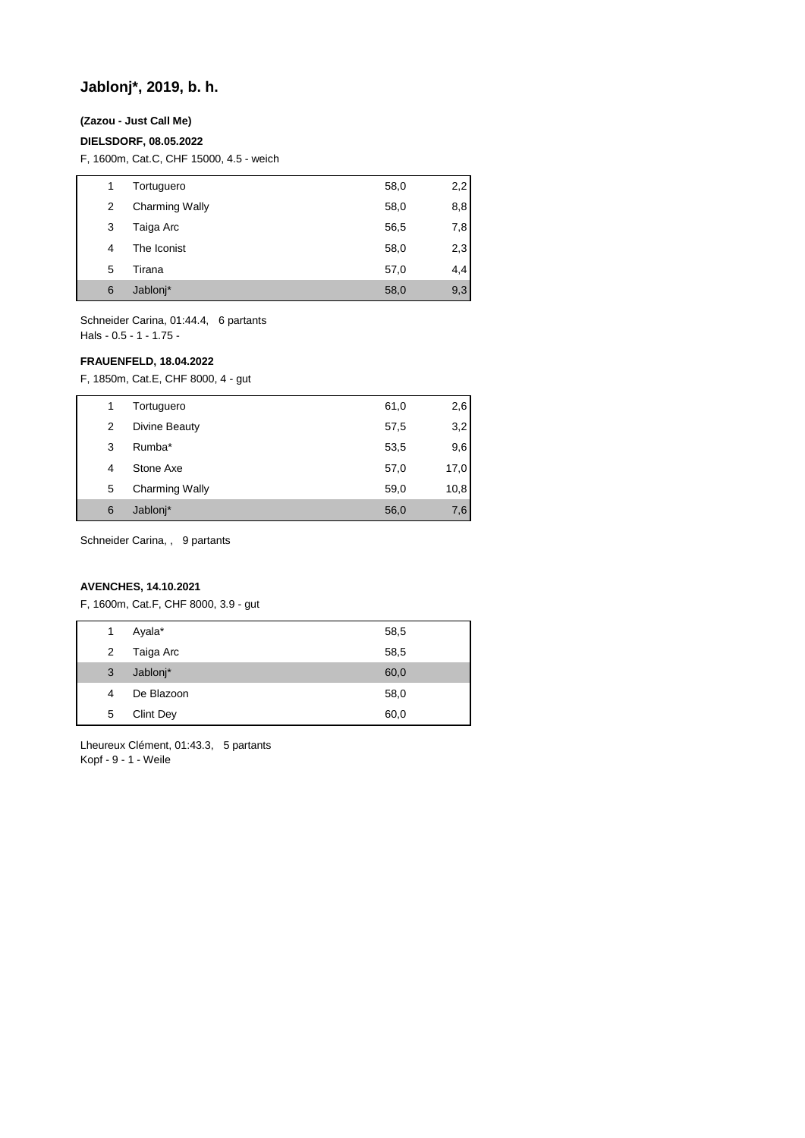# **Jablonj\*, 2019, b. h.**

## **(Zazou - Just Call Me)**

### **DIELSDORF, 08.05.2022**

F, 1600m, Cat.C, CHF 15000, 4.5 - weich

| 1 | Tortuguero            | 58,0 | 2,2 |
|---|-----------------------|------|-----|
| 2 | <b>Charming Wally</b> | 58,0 | 8,8 |
| 3 | Taiga Arc             | 56,5 | 7,8 |
| 4 | The Iconist           | 58,0 | 2,3 |
| 5 | Tirana                | 57,0 | 4,4 |
| 6 | Jablonj*              | 58,0 | 9,3 |
|   |                       |      |     |

Schneider Carina, 01:44.4, 6 partants Hals - 0.5 - 1 - 1.75 -

## **FRAUENFELD, 18.04.2022**

F, 1850m, Cat.E, CHF 8000, 4 - gut

|   | Tortuguero            | 61,0 | 2,6  |
|---|-----------------------|------|------|
| 2 | Divine Beauty         | 57,5 | 3,2  |
| 3 | Rumba*                | 53,5 | 9,6  |
| 4 | Stone Axe             | 57,0 | 17,0 |
| 5 | <b>Charming Wally</b> | 59,0 | 10,8 |
| 6 | Jablonj*              | 56,0 | 7,6  |

Schneider Carina, , 9 partants

# **AVENCHES, 14.10.2021**

F, 1600m, Cat.F, CHF 8000, 3.9 - gut

| 1 | Ayala*           | 58,5 |
|---|------------------|------|
| 2 | Taiga Arc        | 58,5 |
| 3 | Jablonj*         | 60,0 |
| 4 | De Blazoon       | 58,0 |
| 5 | <b>Clint Dey</b> | 60,0 |

Lheureux Clément, 01:43.3, 5 partants Kopf - 9 - 1 - Weile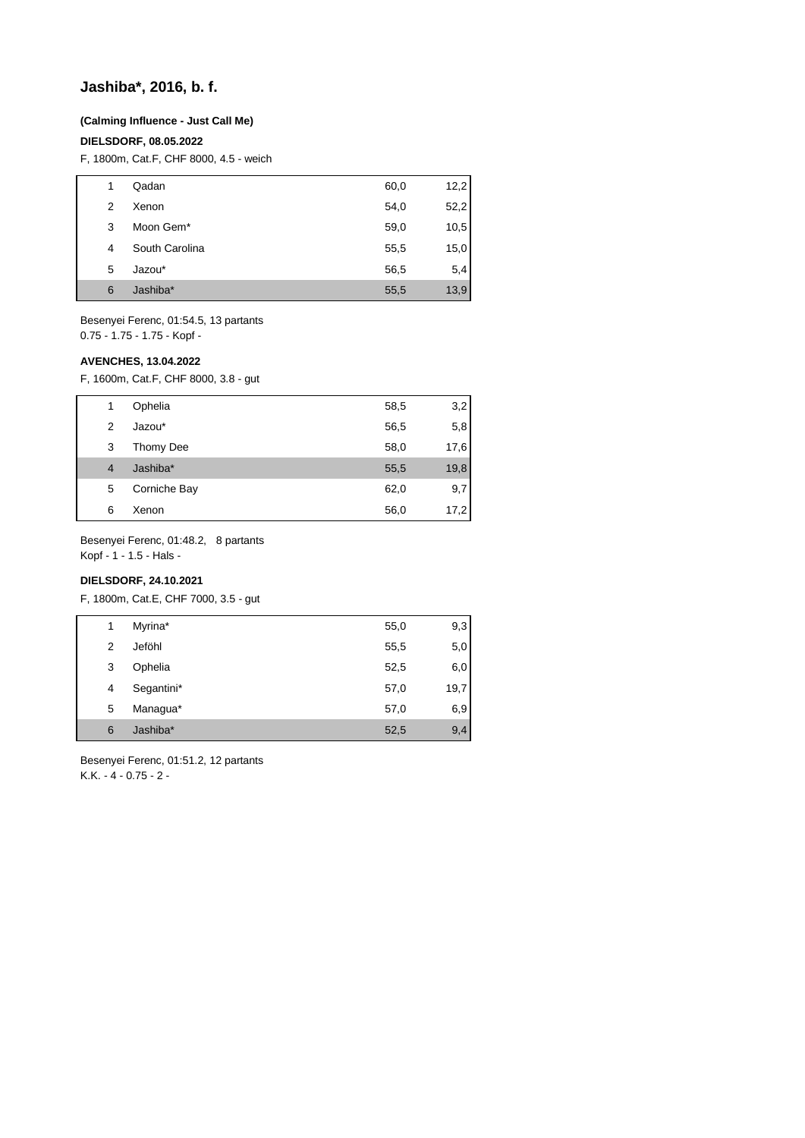# **Jashiba\*, 2016, b. f.**

#### **(Calming Influence - Just Call Me)**

#### **DIELSDORF, 08.05.2022**

F, 1800m, Cat.F, CHF 8000, 4.5 - weich

| 1 | Qadan          | 60,0 | 12,2 |
|---|----------------|------|------|
| 2 | Xenon          | 54,0 | 52,2 |
| 3 | Moon Gem*      | 59,0 | 10,5 |
| 4 | South Carolina | 55,5 | 15,0 |
| 5 | Jazou*         | 56,5 | 5,4  |
| 6 | Jashiba*       | 55,5 | 13,9 |

Besenyei Ferenc, 01:54.5, 13 partants 0.75 - 1.75 - 1.75 - Kopf -

## **AVENCHES, 13.04.2022**

F, 1600m, Cat.F, CHF 8000, 3.8 - gut

| 1              | Ophelia      | 58,5 | 3,2  |
|----------------|--------------|------|------|
| 2              | Jazou*       | 56,5 | 5,8  |
| 3              | Thomy Dee    | 58,0 | 17,6 |
| $\overline{4}$ | Jashiba*     | 55,5 | 19,8 |
| 5              | Corniche Bay | 62,0 | 9,7  |
| 6              | Xenon        | 56,0 | 17,2 |

Besenyei Ferenc, 01:48.2, 8 partants

Kopf - 1 - 1.5 - Hals -

# **DIELSDORF, 24.10.2021**

F, 1800m, Cat.E, CHF 7000, 3.5 - gut

| 1 | Myrina*    | 55,0 | 9,3  |
|---|------------|------|------|
| 2 | Jeföhl     | 55,5 | 5,0  |
| 3 | Ophelia    | 52,5 | 6,0  |
| 4 | Segantini* | 57,0 | 19,7 |
| 5 | Managua*   | 57,0 | 6,9  |
| 6 | Jashiba*   | 52,5 | 9,4  |

Besenyei Ferenc, 01:51.2, 12 partants K.K. - 4 - 0.75 - 2 -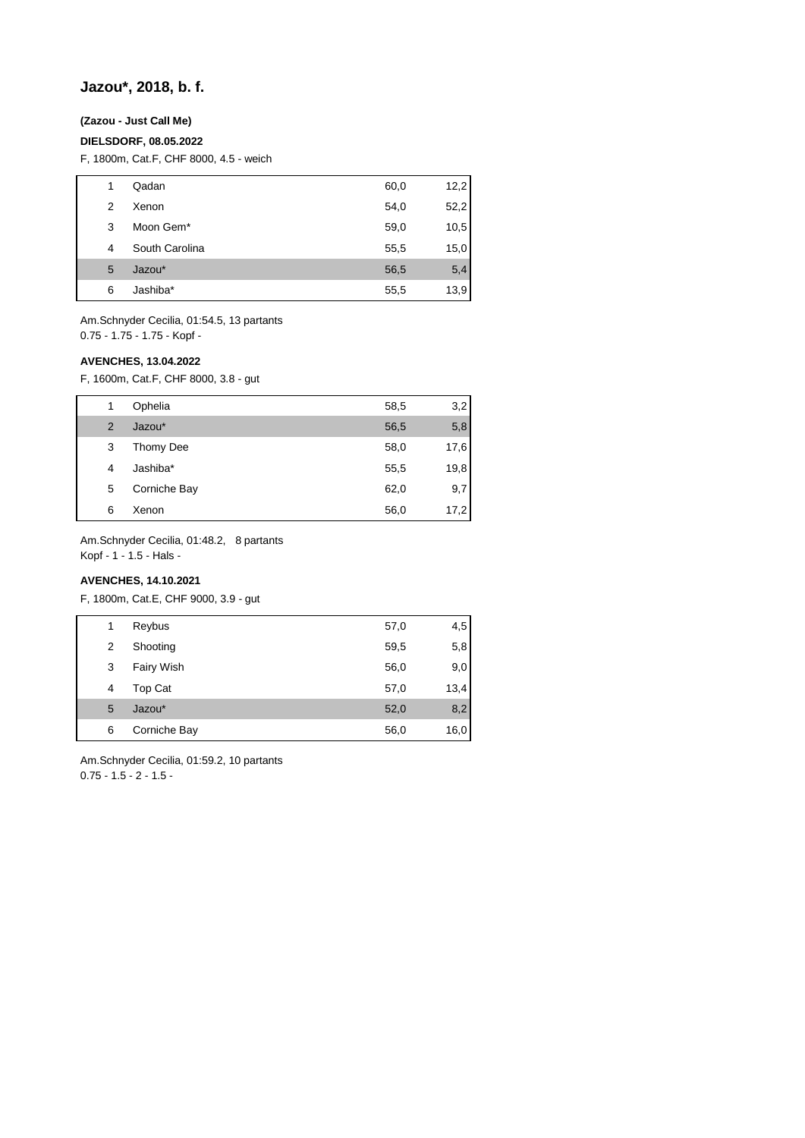# **Jazou\*, 2018, b. f.**

# **(Zazou - Just Call Me)**

### **DIELSDORF, 08.05.2022**

F, 1800m, Cat.F, CHF 8000, 4.5 - weich

| 1 | Qadan          | 60,0 | 12,2 |
|---|----------------|------|------|
| 2 | Xenon          | 54,0 | 52,2 |
| 3 | Moon Gem*      | 59,0 | 10,5 |
| 4 | South Carolina | 55,5 | 15,0 |
| 5 | Jazou*         | 56,5 | 5,4  |
| 6 | Jashiba*       | 55,5 | 13,9 |

Am.Schnyder Cecilia, 01:54.5, 13 partants 0.75 - 1.75 - 1.75 - Kopf -

## **AVENCHES, 13.04.2022**

F, 1600m, Cat.F, CHF 8000, 3.8 - gut

| 1              | Ophelia      | 58,5 | 3,2  |
|----------------|--------------|------|------|
| $\overline{2}$ | Jazou*       | 56,5 | 5,8  |
| 3              | Thomy Dee    | 58,0 | 17,6 |
| 4              | Jashiba*     | 55,5 | 19,8 |
| 5              | Corniche Bay | 62,0 | 9,7  |
| 6              | Xenon        | 56,0 | 17,2 |

Am.Schnyder Cecilia, 01:48.2, 8 partants

Kopf - 1 - 1.5 - Hals -

# **AVENCHES, 14.10.2021**

F, 1800m, Cat.E, CHF 9000, 3.9 - gut

| 1 | Reybus            | 57,0 | 4,5  |
|---|-------------------|------|------|
| 2 | Shooting          | 59,5 | 5,8  |
| 3 | <b>Fairy Wish</b> | 56,0 | 9,0  |
| 4 | Top Cat           | 57,0 | 13,4 |
| 5 | Jazou*            | 52,0 | 8,2  |
| 6 | Corniche Bay      | 56,0 | 16,0 |

Am.Schnyder Cecilia, 01:59.2, 10 partants 0.75 - 1.5 - 2 - 1.5 -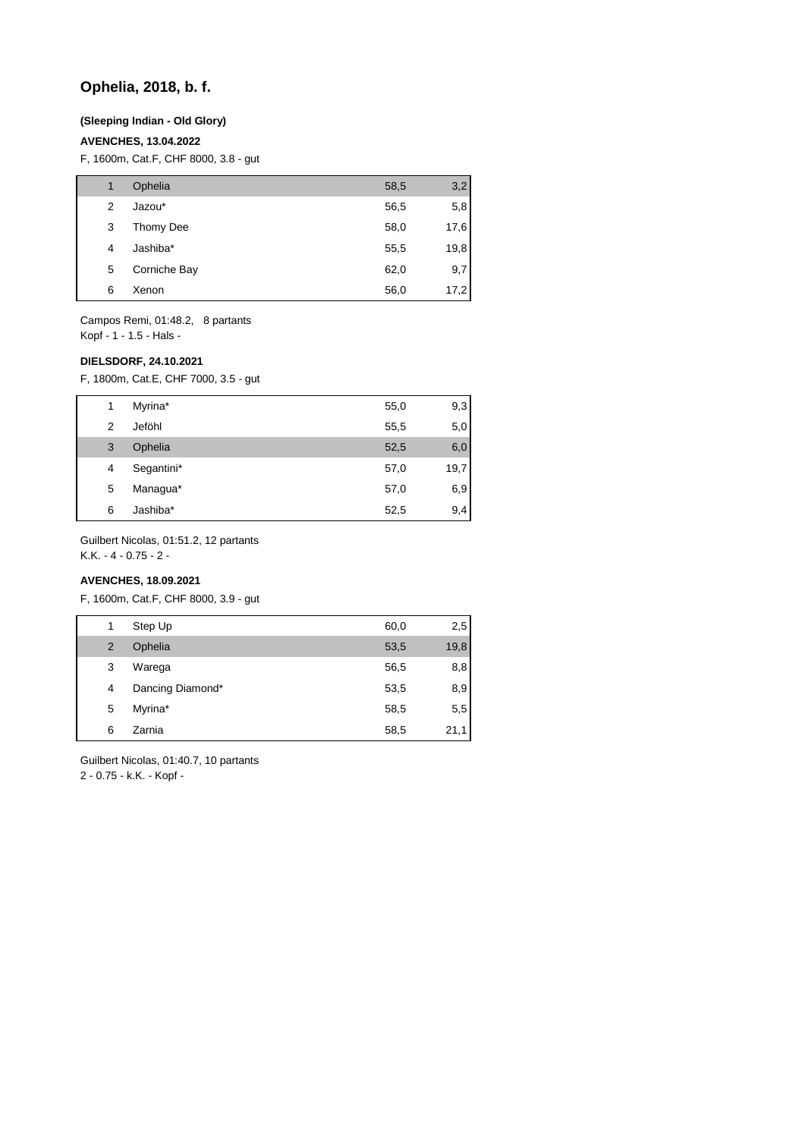# **Ophelia, 2018, b. f.**

#### **(Sleeping Indian - Old Glory)**

## **AVENCHES, 13.04.2022**

F, 1600m, Cat.F, CHF 8000, 3.8 - gut

| 1 | Ophelia      | 58,5 | 3,2  |
|---|--------------|------|------|
| 2 | Jazou*       | 56,5 | 5,8  |
| 3 | Thomy Dee    | 58,0 | 17,6 |
| 4 | Jashiba*     | 55,5 | 19,8 |
| 5 | Corniche Bay | 62,0 | 9,7  |
| 6 | Xenon        | 56,0 | 17,2 |

Campos Remi, 01:48.2, 8 partants Kopf - 1 - 1.5 - Hals -

#### **DIELSDORF, 24.10.2021**

F, 1800m, Cat.E, CHF 7000, 3.5 - gut

| 1 | Myrina*    | 55,0 | 9,3  |
|---|------------|------|------|
| 2 | Jeföhl     | 55,5 | 5,0  |
| 3 | Ophelia    | 52,5 | 6,0  |
| 4 | Segantini* | 57,0 | 19,7 |
| 5 | Managua*   | 57,0 | 6,9  |
| 6 | Jashiba*   | 52,5 | 9,4  |

Guilbert Nicolas, 01:51.2, 12 partants

K.K. - 4 - 0.75 - 2 -

# **AVENCHES, 18.09.2021**

F, 1600m, Cat.F, CHF 8000, 3.9 - gut

| 1              | Step Up          | 60,0 | 2,5  |
|----------------|------------------|------|------|
| $\overline{2}$ | Ophelia          | 53,5 | 19,8 |
| 3              | Warega           | 56,5 | 8,8  |
| 4              | Dancing Diamond* | 53,5 | 8,9  |
| 5              | Myrina*          | 58,5 | 5,5  |
| 6              | Zarnia           | 58,5 | 21,1 |
|                |                  |      |      |

Guilbert Nicolas, 01:40.7, 10 partants

2 - 0.75 - k.K. - Kopf -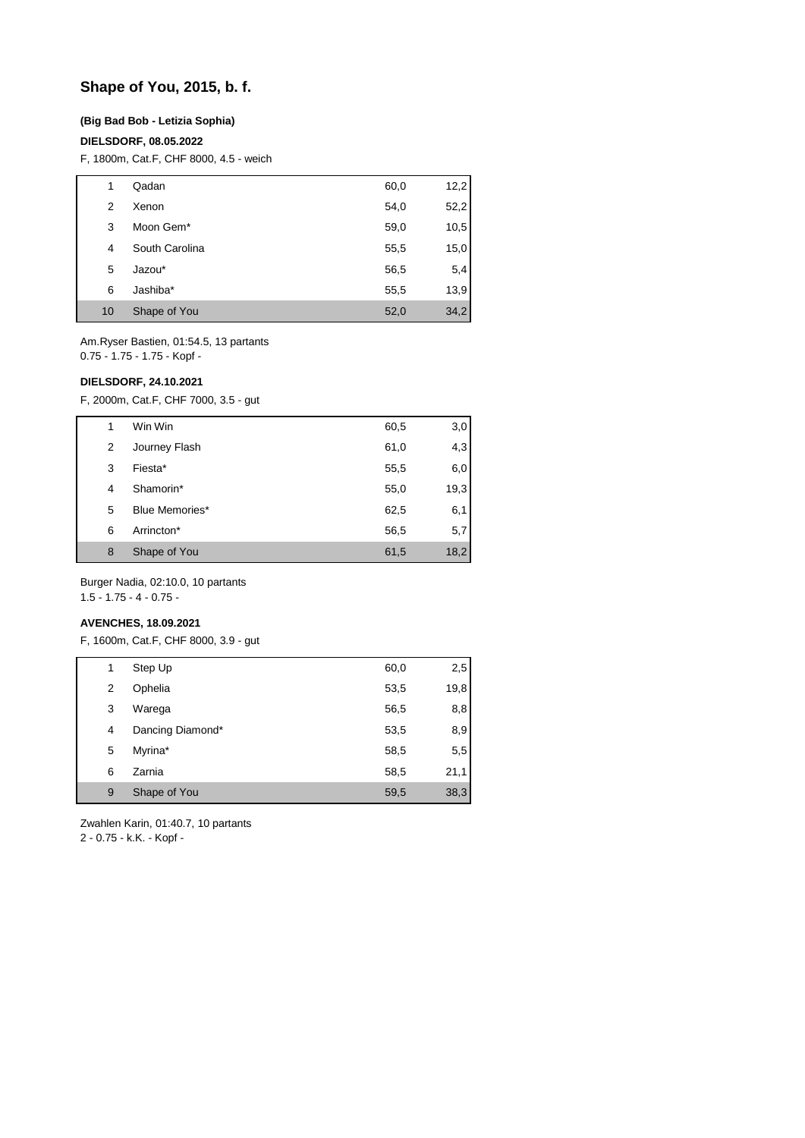# **Shape of You, 2015, b. f.**

### **(Big Bad Bob - Letizia Sophia)**

### **DIELSDORF, 08.05.2022**

F, 1800m, Cat.F, CHF 8000, 4.5 - weich

| 1  | Qadan          | 60,0 | 12,2 |
|----|----------------|------|------|
| 2  | Xenon          | 54,0 | 52,2 |
| 3  | Moon Gem*      | 59,0 | 10,5 |
| 4  | South Carolina | 55,5 | 15,0 |
| 5  | Jazou*         | 56,5 | 5,4  |
| 6  | Jashiba*       | 55,5 | 13,9 |
| 10 | Shape of You   | 52,0 | 34,2 |

Am.Ryser Bastien, 01:54.5, 13 partants 0.75 - 1.75 - 1.75 - Kopf -

## **DIELSDORF, 24.10.2021**

F, 2000m, Cat.F, CHF 7000, 3.5 - gut

| 1 | Win Win               | 60,5 | 3,0  |
|---|-----------------------|------|------|
| 2 | Journey Flash         | 61,0 | 4,3  |
| 3 | Fiesta*               | 55,5 | 6,0  |
| 4 | Shamorin*             | 55,0 | 19,3 |
| 5 | <b>Blue Memories*</b> | 62,5 | 6,1  |
| 6 | Arrincton*            | 56,5 | 5,7  |
| 8 | Shape of You          | 61,5 | 18,2 |

Burger Nadia, 02:10.0, 10 partants 1.5 - 1.75 - 4 - 0.75 -

#### **AVENCHES, 18.09.2021**

F, 1600m, Cat.F, CHF 8000, 3.9 - gut

| 1 | Step Up          | 60,0 | 2,5  |
|---|------------------|------|------|
| 2 | Ophelia          | 53,5 | 19,8 |
| 3 | Warega           | 56,5 | 8,8  |
| 4 | Dancing Diamond* | 53,5 | 8,9  |
| 5 | Myrina*          | 58,5 | 5,5  |
| 6 | Zarnia           | 58,5 | 21,1 |
| 9 | Shape of You     | 59,5 | 38,3 |

Zwahlen Karin, 01:40.7, 10 partants

2 - 0.75 - k.K. - Kopf -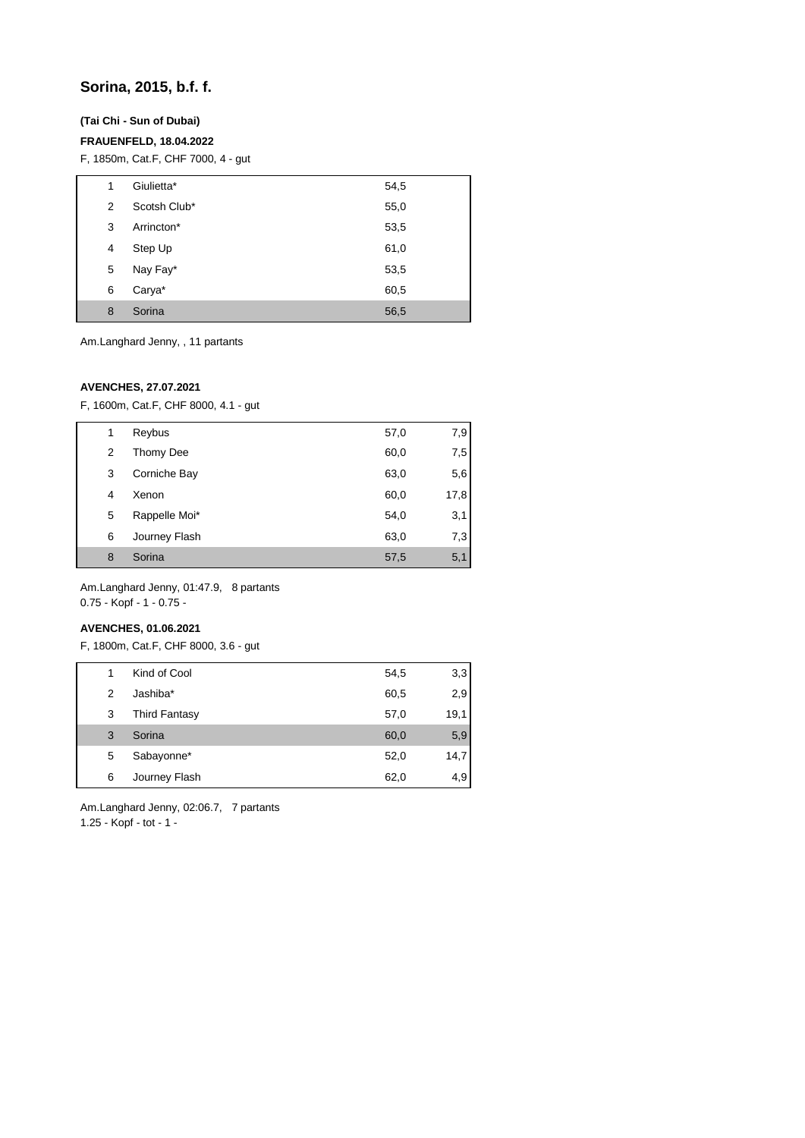# **Sorina, 2015, b.f. f.**

## **(Tai Chi - Sun of Dubai)**

## **FRAUENFELD, 18.04.2022**

F, 1850m, Cat.F, CHF 7000, 4 - gut

| 1 | Giulietta*   | 54,5 |
|---|--------------|------|
| 2 | Scotsh Club* | 55,0 |
| 3 | Arrincton*   | 53,5 |
| 4 | Step Up      | 61,0 |
| 5 | Nay Fay*     | 53,5 |
| 6 | Carya*       | 60,5 |
| 8 | Sorina       | 56,5 |

Am.Langhard Jenny, , 11 partants

### **AVENCHES, 27.07.2021**

F, 1600m, Cat.F, CHF 8000, 4.1 - gut

| 1 | Reybus        | 57,0 | 7,9  |
|---|---------------|------|------|
| 2 | Thomy Dee     | 60,0 | 7,5  |
| 3 | Corniche Bay  | 63,0 | 5,6  |
| 4 | Xenon         | 60,0 | 17,8 |
| 5 | Rappelle Moi* | 54,0 | 3,1  |
| 6 | Journey Flash | 63,0 | 7,3  |
| 8 | Sorina        | 57,5 | 5,1  |
|   |               |      |      |

Am.Langhard Jenny, 01:47.9, 8 partants  $0.75 - \text{Kopf} - 1 - 0.75 -$ 

# **AVENCHES, 01.06.2021**

F, 1800m, Cat.F, CHF 8000, 3.6 - gut

| 1 | Kind of Cool         | 54,5 | 3,3  |
|---|----------------------|------|------|
| 2 | Jashiba*             | 60,5 | 2,9  |
| 3 | <b>Third Fantasy</b> | 57,0 | 19,1 |
| 3 | Sorina               | 60,0 | 5,9  |
| 5 | Sabayonne*           | 52,0 | 14,7 |
| 6 | Journey Flash        | 62,0 | 4,9  |

Am.Langhard Jenny, 02:06.7, 7 partants 1.25 - Kopf - tot - 1 -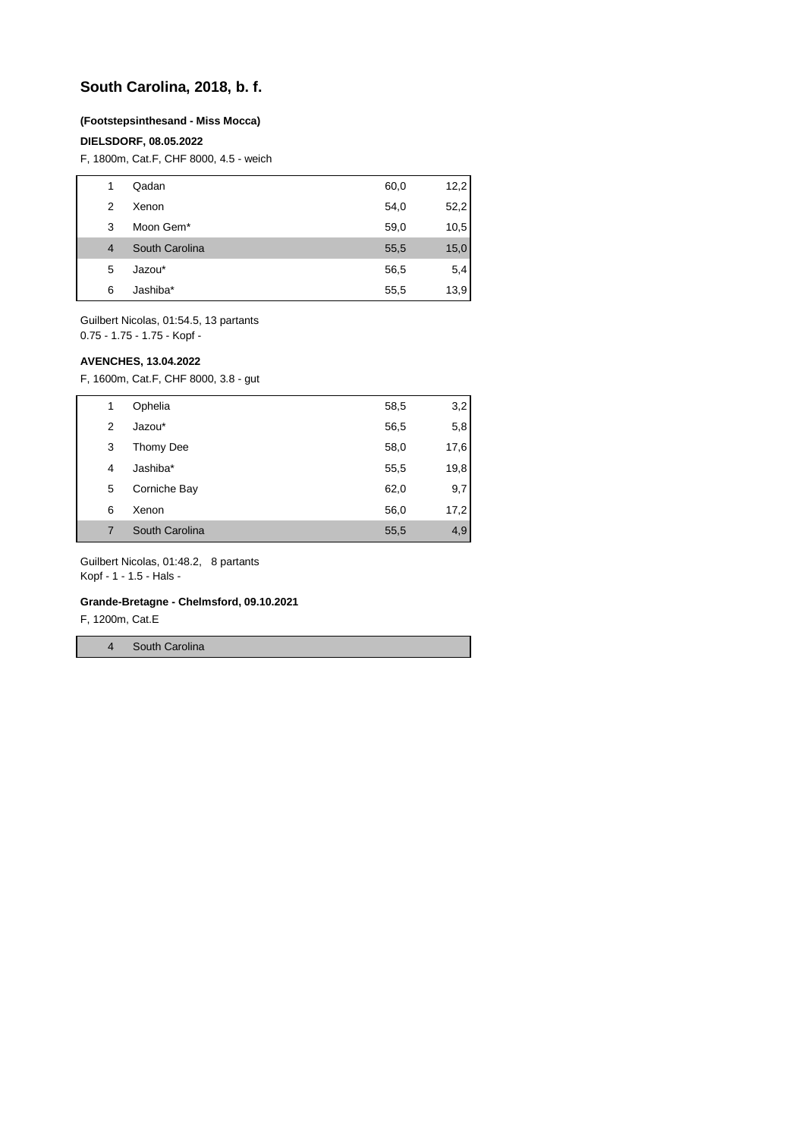# **South Carolina, 2018, b. f.**

#### **(Footstepsinthesand - Miss Mocca)**

#### **DIELSDORF, 08.05.2022**

F, 1800m, Cat.F, CHF 8000, 4.5 - weich

| 1              | Qadan          | 60,0 | 12,2 |
|----------------|----------------|------|------|
| 2              | Xenon          | 54,0 | 52,2 |
| 3              | Moon Gem*      | 59,0 | 10,5 |
| $\overline{4}$ | South Carolina | 55,5 | 15,0 |
| 5              | Jazou*         | 56,5 | 5,4  |
| 6              | Jashiba*       | 55,5 | 13,9 |

Guilbert Nicolas, 01:54.5, 13 partants 0.75 - 1.75 - 1.75 - Kopf -

#### **AVENCHES, 13.04.2022**

F, 1600m, Cat.F, CHF 8000, 3.8 - gut

| 1 | Ophelia        | 58,5 | 3,2  |
|---|----------------|------|------|
| 2 | Jazou*         | 56,5 | 5,8  |
| 3 | Thomy Dee      | 58,0 | 17,6 |
| 4 | Jashiba*       | 55,5 | 19,8 |
| 5 | Corniche Bay   | 62,0 | 9,7  |
| 6 | Xenon          | 56,0 | 17,2 |
|   | South Carolina | 55,5 | 4,9  |

Guilbert Nicolas, 01:48.2, 8 partants Kopf - 1 - 1.5 - Hals -

# **Grande-Bretagne - Chelmsford, 09.10.2021**

F, 1200m, Cat.E

4 South Carolina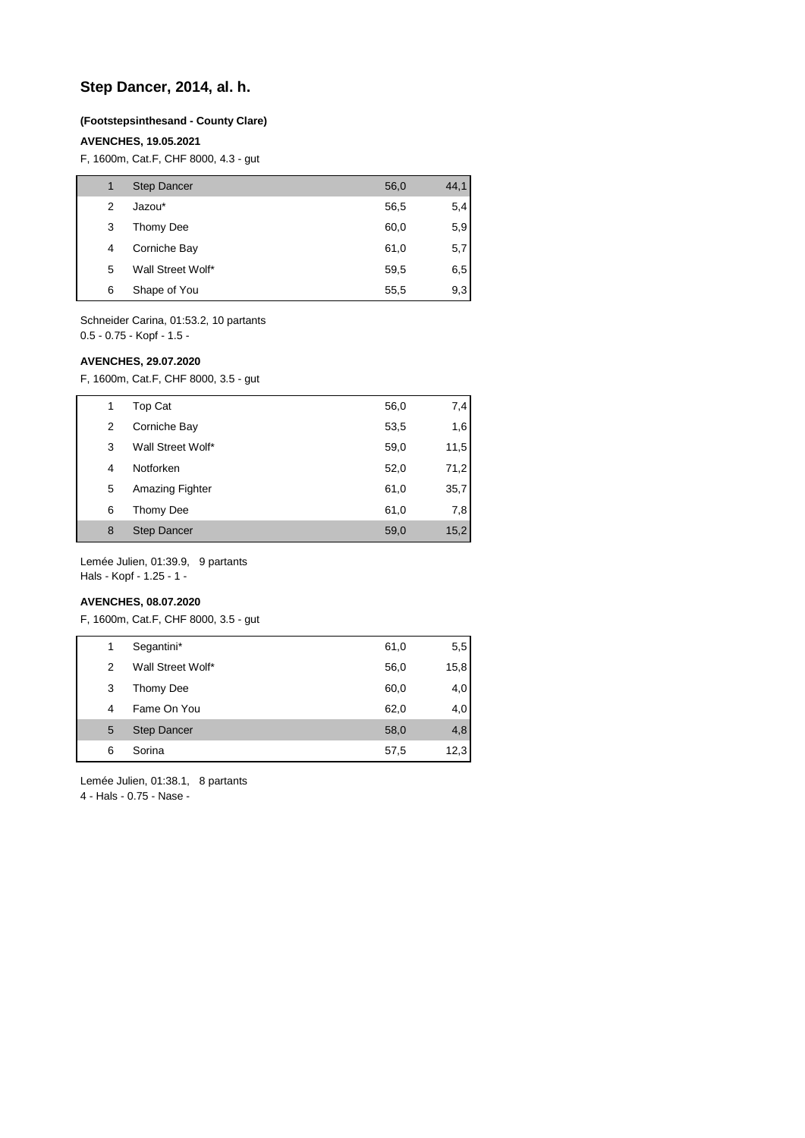# **Step Dancer, 2014, al. h.**

#### **(Footstepsinthesand - County Clare)**

## **AVENCHES, 19.05.2021**

F, 1600m, Cat.F, CHF 8000, 4.3 - gut

|   | <b>Step Dancer</b> | 56,0 | 44,1 |
|---|--------------------|------|------|
| 2 | Jazou*             | 56,5 | 5,4  |
| 3 | Thomy Dee          | 60,0 | 5,9  |
| 4 | Corniche Bay       | 61,0 | 5,7  |
| 5 | Wall Street Wolf*  | 59,5 | 6,5  |
| 6 | Shape of You       | 55,5 | 9,3  |

Schneider Carina, 01:53.2, 10 partants 0.5 - 0.75 - Kopf - 1.5 -

## **AVENCHES, 29.07.2020**

F, 1600m, Cat.F, CHF 8000, 3.5 - gut

| 1 | Top Cat            | 56,0 | 7,4  |
|---|--------------------|------|------|
| 2 | Corniche Bay       | 53,5 | 1,6  |
| 3 | Wall Street Wolf*  | 59,0 | 11,5 |
| 4 | Notforken          | 52,0 | 71,2 |
| 5 | Amazing Fighter    | 61,0 | 35,7 |
| 6 | Thomy Dee          | 61,0 | 7,8  |
| 8 | <b>Step Dancer</b> | 59,0 | 15,2 |

Lemée Julien, 01:39.9, 9 partants Hals - Kopf - 1.25 - 1 -

#### **AVENCHES, 08.07.2020**

F, 1600m, Cat.F, CHF 8000, 3.5 - gut

| 1 | Segantini*         | 61,0 | 5,5  |
|---|--------------------|------|------|
| 2 | Wall Street Wolf*  | 56,0 | 15,8 |
| 3 | Thomy Dee          | 60,0 | 4,0  |
| 4 | Fame On You        | 62,0 | 4,0  |
| 5 | <b>Step Dancer</b> | 58,0 | 4,8  |
| 6 | Sorina             | 57,5 | 12,3 |
|   |                    |      |      |

Lemée Julien, 01:38.1, 8 partants

4 - Hals - 0.75 - Nase -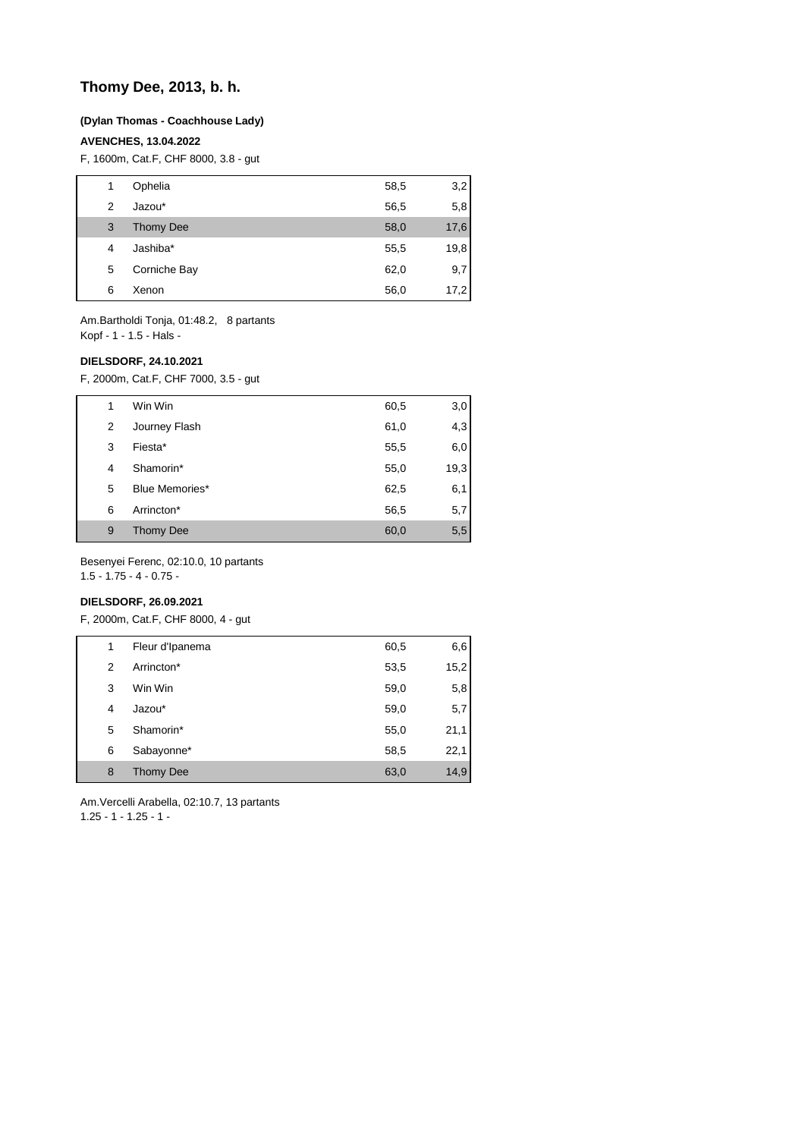# **Thomy Dee, 2013, b. h.**

### **(Dylan Thomas - Coachhouse Lady)**

## **AVENCHES, 13.04.2022**

F, 1600m, Cat.F, CHF 8000, 3.8 - gut

| 1 | Ophelia          | 58,5 | 3,2  |
|---|------------------|------|------|
| 2 | Jazou*           | 56,5 | 5,8  |
| 3 | <b>Thomy Dee</b> | 58,0 | 17,6 |
| 4 | Jashiba*         | 55,5 | 19,8 |
| 5 | Corniche Bay     | 62,0 | 9,7  |
| 6 | Xenon            | 56,0 | 17,2 |

Am.Bartholdi Tonja, 01:48.2, 8 partants Kopf - 1 - 1.5 - Hals -

#### **DIELSDORF, 24.10.2021**

F, 2000m, Cat.F, CHF 7000, 3.5 - gut

|   | Win Win        | 60,5 | 3,0  |
|---|----------------|------|------|
| 2 | Journey Flash  | 61,0 | 4,3  |
| 3 | Fiesta*        | 55,5 | 6,0  |
| 4 | Shamorin*      | 55,0 | 19,3 |
| 5 | Blue Memories* | 62,5 | 6,1  |
| 6 | Arrincton*     | 56,5 | 5,7  |
| 9 | Thomy Dee      | 60,0 | 5,5  |

Besenyei Ferenc, 02:10.0, 10 partants

1.5 - 1.75 - 4 - 0.75 -

# **DIELSDORF, 26.09.2021**

F, 2000m, Cat.F, CHF 8000, 4 - gut

| 1 | Fleur d'Ipanema  | 60,5 | 6,6  |
|---|------------------|------|------|
| 2 | Arrincton*       | 53,5 | 15,2 |
| 3 | Win Win          | 59,0 | 5,8  |
| 4 | Jazou*           | 59,0 | 5,7  |
| 5 | Shamorin*        | 55,0 | 21,1 |
| 6 | Sabayonne*       | 58,5 | 22,1 |
| 8 | <b>Thomy Dee</b> | 63,0 | 14,9 |

Am.Vercelli Arabella, 02:10.7, 13 partants 1.25 - 1 - 1.25 - 1 -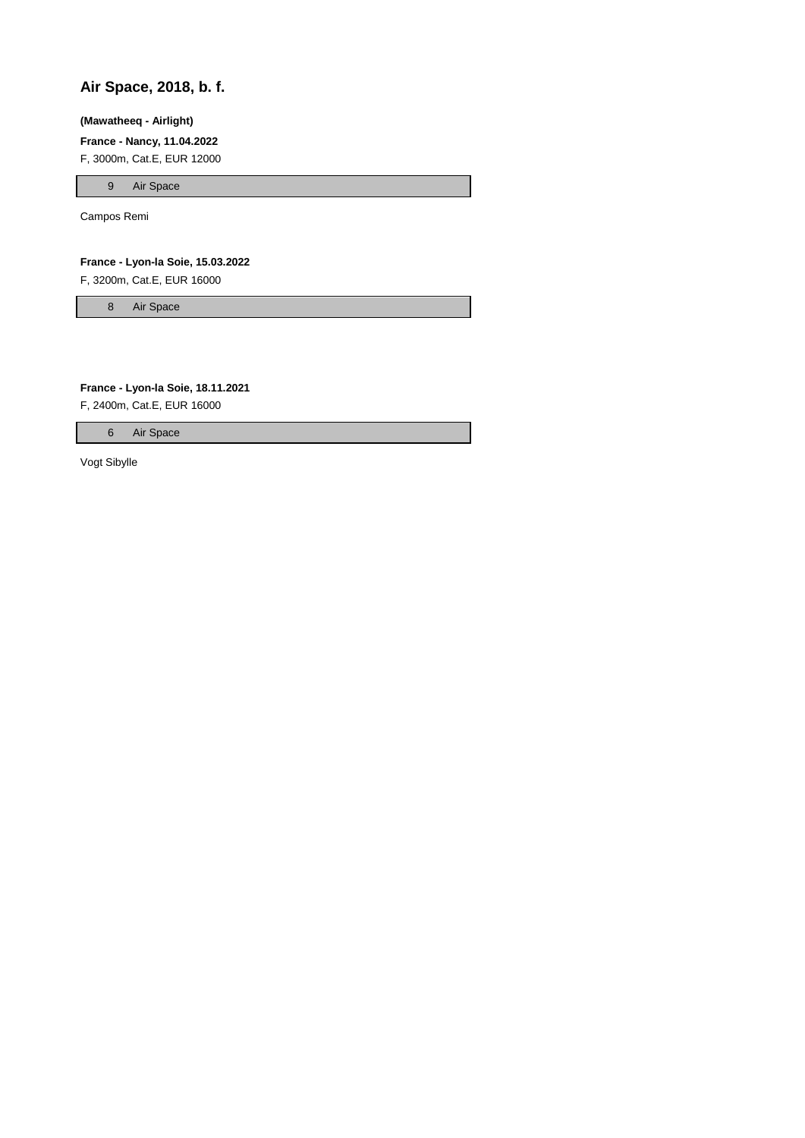# **Air Space, 2018, b. f.**

#### **(Mawatheeq - Airlight)**

**France - Nancy, 11.04.2022**

F, 3000m, Cat.E, EUR 12000

9 Air Space

Campos Remi

**France - Lyon-la Soie, 15.03.2022**

F, 3200m, Cat.E, EUR 16000

8 Air Space

**France - Lyon-la Soie, 18.11.2021**

F, 2400m, Cat.E, EUR 16000

6 Air Space

Vogt Sibylle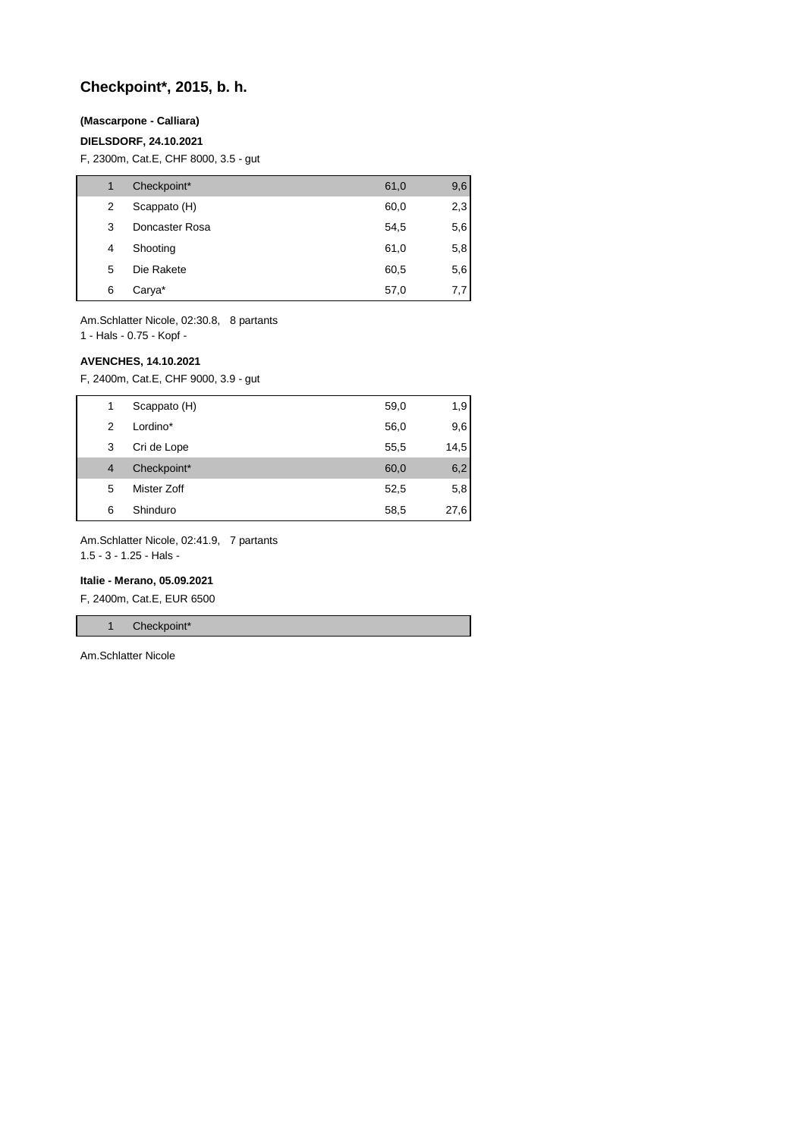# **Checkpoint\*, 2015, b. h.**

## **(Mascarpone - Calliara)**

## **DIELSDORF, 24.10.2021**

F, 2300m, Cat.E, CHF 8000, 3.5 - gut

|   | Checkpoint*    | 61,0 | 9,6 |
|---|----------------|------|-----|
| 2 | Scappato (H)   | 60,0 | 2,3 |
| 3 | Doncaster Rosa | 54,5 | 5,6 |
| 4 | Shooting       | 61,0 | 5,8 |
| 5 | Die Rakete     | 60,5 | 5,6 |
| 6 | Carya*         | 57,0 | 7,7 |

Am.Schlatter Nicole, 02:30.8, 8 partants

1 - Hals - 0.75 - Kopf -

#### **AVENCHES, 14.10.2021**

F, 2400m, Cat.E, CHF 9000, 3.9 - gut

| 1              | Scappato (H) | 59,0 | 1,9  |
|----------------|--------------|------|------|
| $\mathcal{P}$  | Lordino*     | 56,0 | 9,6  |
| 3              | Cri de Lope  | 55,5 | 14,5 |
| $\overline{4}$ | Checkpoint*  | 60,0 | 6,2  |
| 5              | Mister Zoff  | 52,5 | 5,8  |
| 6              | Shinduro     | 58,5 | 27,6 |

Am.Schlatter Nicole, 02:41.9, 7 partants

1.5 - 3 - 1.25 - Hals -

#### **Italie - Merano, 05.09.2021**

F, 2400m, Cat.E, EUR 6500

1 Checkpoint\*

Am.Schlatter Nicole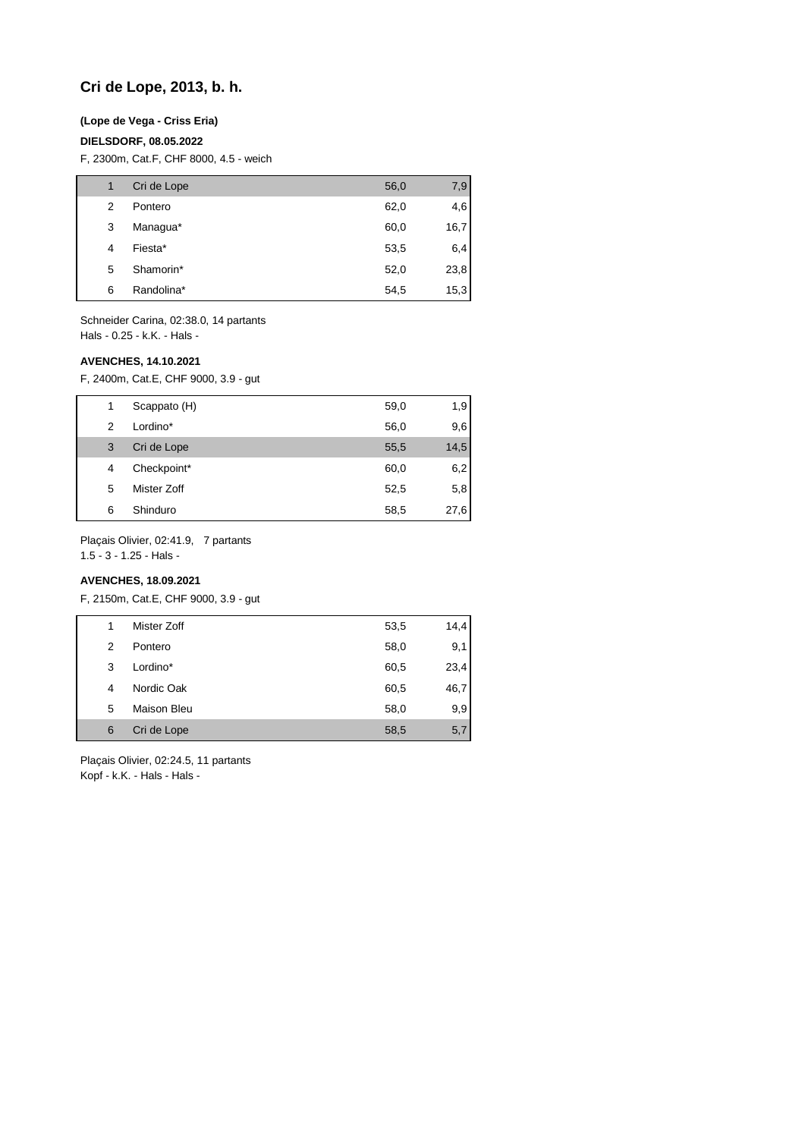# **Cri de Lope, 2013, b. h.**

## **(Lope de Vega - Criss Eria)**

## **DIELSDORF, 08.05.2022**

F, 2300m, Cat.F, CHF 8000, 4.5 - weich

| 1 | Cri de Lope | 56,0 | 7,9  |
|---|-------------|------|------|
| 2 | Pontero     | 62,0 | 4,6  |
| 3 | Managua*    | 60,0 | 16,7 |
| 4 | Fiesta*     | 53,5 | 6,4  |
| 5 | Shamorin*   | 52,0 | 23,8 |
| 6 | Randolina*  | 54,5 | 15,3 |

Schneider Carina, 02:38.0, 14 partants Hals - 0.25 - k.K. - Hals -

#### **AVENCHES, 14.10.2021**

F, 2400m, Cat.E, CHF 9000, 3.9 - gut

| 1 | Scappato (H) | 59,0 | 1,9  |
|---|--------------|------|------|
| 2 | Lordino*     | 56,0 | 9,6  |
| 3 | Cri de Lope  | 55,5 | 14,5 |
| 4 | Checkpoint*  | 60,0 | 6,2  |
| 5 | Mister Zoff  | 52,5 | 5,8  |
| 6 | Shinduro     | 58,5 | 27,6 |

Plaçais Olivier, 02:41.9, 7 partants

1.5 - 3 - 1.25 - Hals -

# **AVENCHES, 18.09.2021**

F, 2150m, Cat.E, CHF 9000, 3.9 - gut

|   | Mister Zoff        | 53,5 | 14,4 |
|---|--------------------|------|------|
| 2 | Pontero            | 58,0 | 9,1  |
| 3 | Lordino*           | 60,5 | 23,4 |
| 4 | Nordic Oak         | 60,5 | 46,7 |
| 5 | <b>Maison Bleu</b> | 58,0 | 9,9  |
| 6 | Cri de Lope        | 58,5 | 5,7  |

Plaçais Olivier, 02:24.5, 11 partants Kopf - k.K. - Hals - Hals -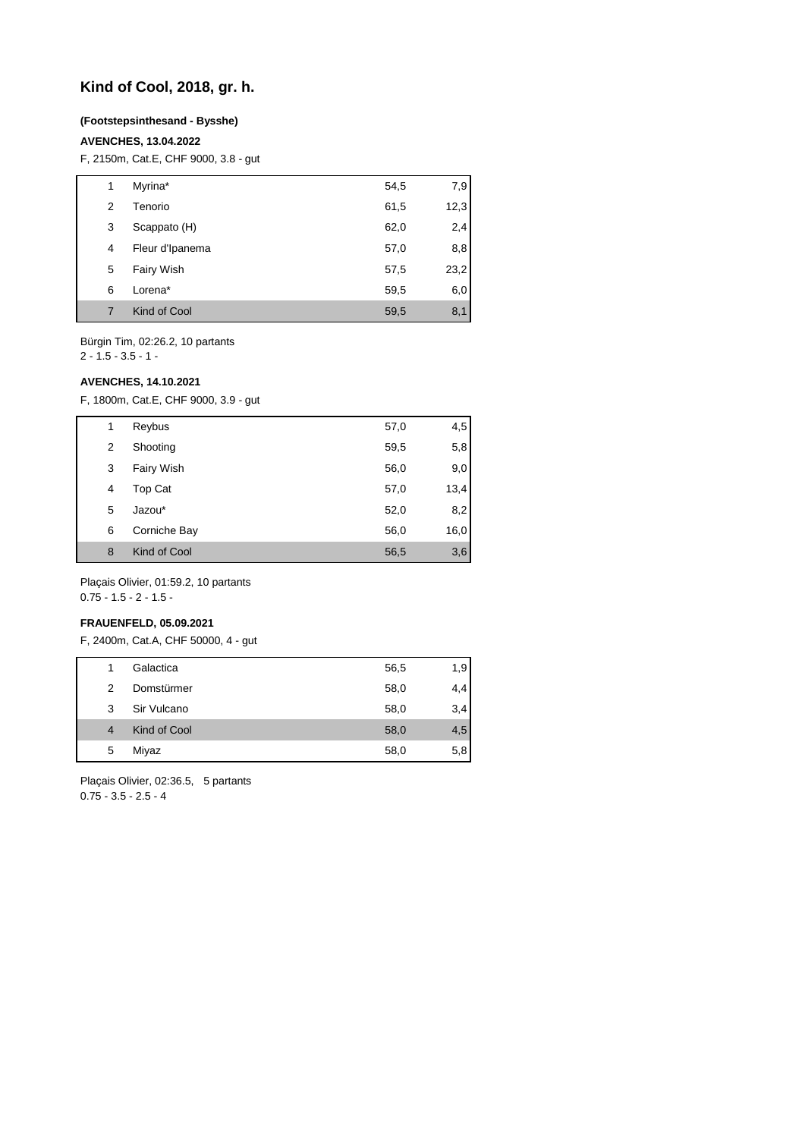# **Kind of Cool, 2018, gr. h.**

#### **(Footstepsinthesand - Bysshe)**

### **AVENCHES, 13.04.2022**

F, 2150m, Cat.E, CHF 9000, 3.8 - gut

| 1 | Myrina*           | 54,5 | 7,9  |
|---|-------------------|------|------|
| 2 | Tenorio           | 61,5 | 12,3 |
| 3 | Scappato (H)      | 62,0 | 2,4  |
| 4 | Fleur d'Ipanema   | 57,0 | 8,8  |
| 5 | <b>Fairy Wish</b> | 57,5 | 23,2 |
| 6 | Lorena*           | 59,5 | 6,0  |
| 7 | Kind of Cool      | 59,5 | 8,1  |

Bürgin Tim, 02:26.2, 10 partants 2 - 1.5 - 3.5 - 1 -

# **AVENCHES, 14.10.2021**

F, 1800m, Cat.E, CHF 9000, 3.9 - gut

| 1 | Reybus       | 57,0 | 4,5  |
|---|--------------|------|------|
| 2 | Shooting     | 59,5 | 5,8  |
| 3 | Fairy Wish   | 56,0 | 9,0  |
| 4 | Top Cat      | 57,0 | 13,4 |
| 5 | Jazou*       | 52,0 | 8,2  |
| 6 | Corniche Bay | 56,0 | 16,0 |
| 8 | Kind of Cool | 56,5 | 3,6  |
|   |              |      |      |

Plaçais Olivier, 01:59.2, 10 partants 0.75 - 1.5 - 2 - 1.5 -

#### **FRAUENFELD, 05.09.2021**

F, 2400m, Cat.A, CHF 50000, 4 - gut

| 1              | Galactica    | 56,5 | 1,9 |
|----------------|--------------|------|-----|
| 2              | Domstürmer   | 58,0 | 4,4 |
| 3              | Sir Vulcano  | 58,0 | 3,4 |
| $\overline{4}$ | Kind of Cool | 58,0 | 4,5 |
| 5              | Miyaz        | 58,0 | 5,8 |
|                |              |      |     |

Plaçais Olivier, 02:36.5, 5 partants 0.75 - 3.5 - 2.5 - 4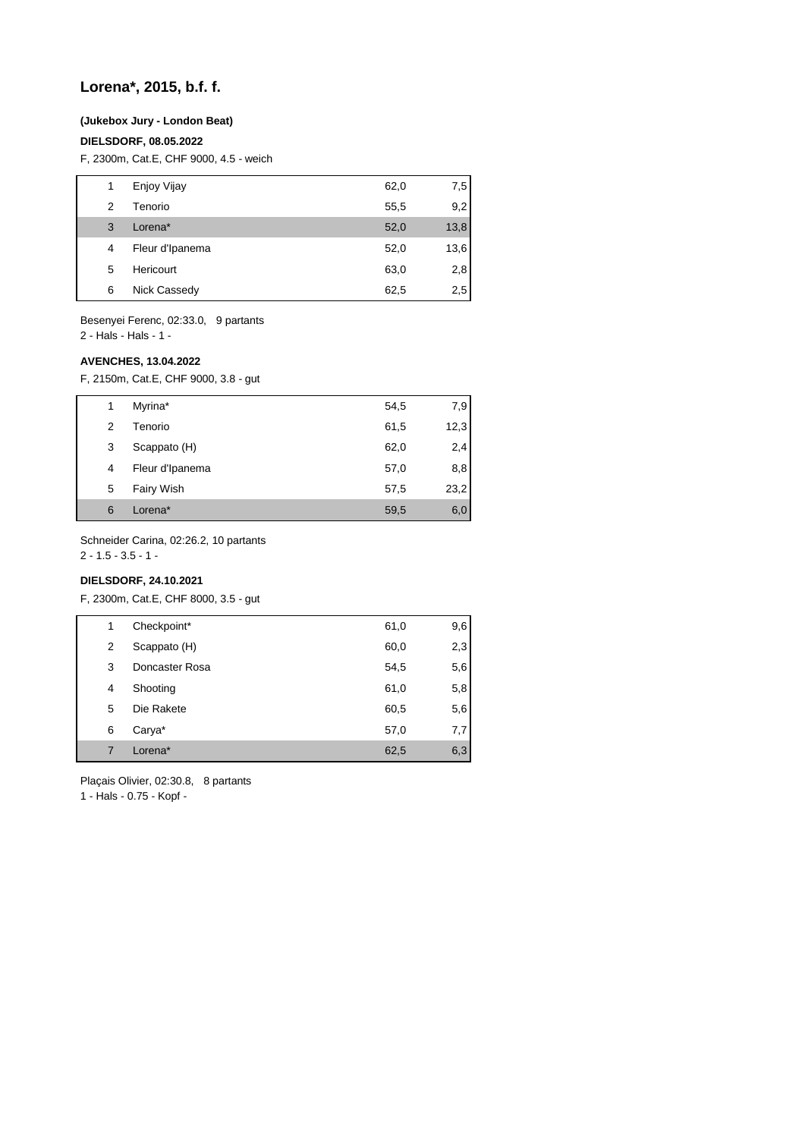# **Lorena\*, 2015, b.f. f.**

#### **(Jukebox Jury - London Beat)**

#### **DIELSDORF, 08.05.2022**

F, 2300m, Cat.E, CHF 9000, 4.5 - weich

|   | Enjoy Vijay     | 62,0 | 7,5  |
|---|-----------------|------|------|
| 2 | Tenorio         | 55,5 | 9,2  |
| 3 | Lorena*         | 52,0 | 13,8 |
| 4 | Fleur d'Ipanema | 52,0 | 13,6 |
| 5 | Hericourt       | 63,0 | 2,8  |
| 6 | Nick Cassedy    | 62,5 | 2,5  |

Besenyei Ferenc, 02:33.0, 9 partants 2 - Hals - Hals - 1 -

## **AVENCHES, 13.04.2022**

F, 2150m, Cat.E, CHF 9000, 3.8 - gut

| 1 | Myrina*           | 54,5 | 7,9  |
|---|-------------------|------|------|
| 2 | Tenorio           | 61,5 | 12,3 |
| 3 | Scappato (H)      | 62,0 | 2,4  |
| 4 | Fleur d'Ipanema   | 57,0 | 8,8  |
| 5 | <b>Fairy Wish</b> | 57,5 | 23,2 |
| 6 | Lorena*           | 59,5 | 6,0  |

Schneider Carina, 02:26.2, 10 partants

 $2 - 1.5 - 3.5 - 1 -$ 

# **DIELSDORF, 24.10.2021**

F, 2300m, Cat.E, CHF 8000, 3.5 - gut

| 1 | Checkpoint*    | 61,0 | 9,6 |
|---|----------------|------|-----|
| 2 | Scappato (H)   | 60,0 | 2,3 |
| 3 | Doncaster Rosa | 54,5 | 5,6 |
| 4 | Shooting       | 61,0 | 5,8 |
| 5 | Die Rakete     | 60,5 | 5,6 |
| 6 | Carya*         | 57,0 | 7,7 |
| 7 | Lorena*        | 62,5 | 6,3 |
|   |                |      |     |

Plaçais Olivier, 02:30.8, 8 partants

1 - Hals - 0.75 - Kopf -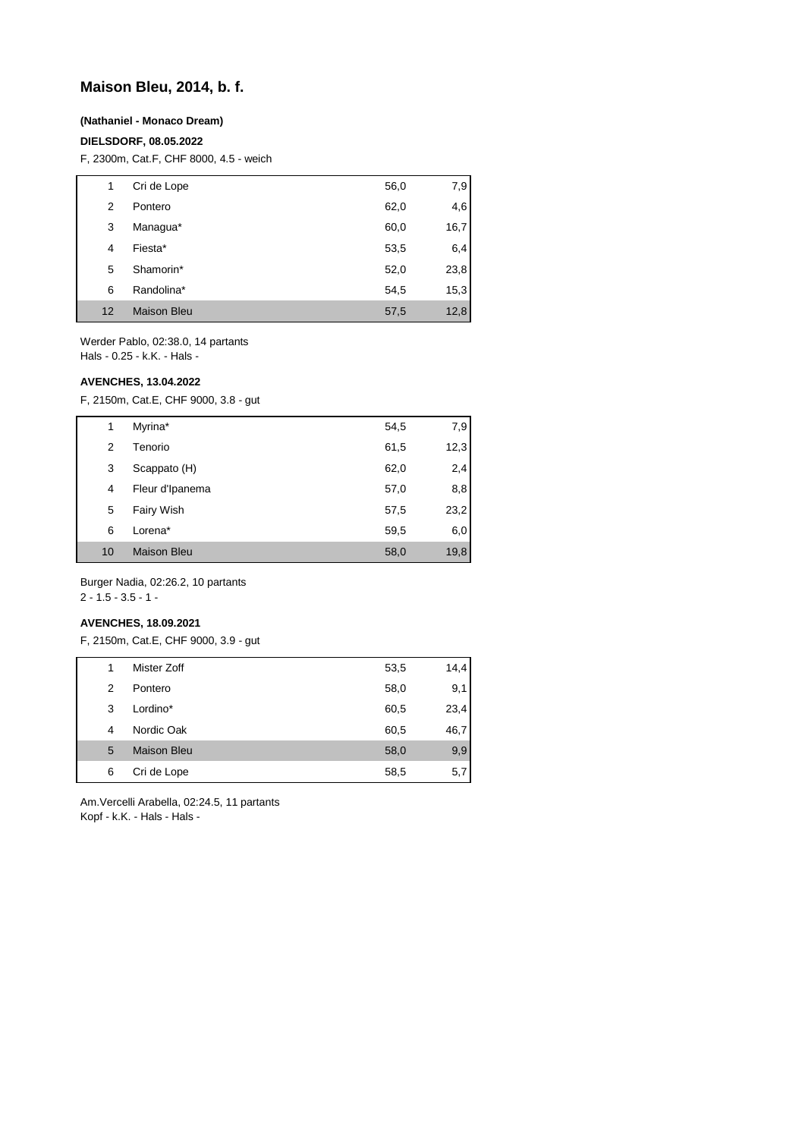# **Maison Bleu, 2014, b. f.**

### **(Nathaniel - Monaco Dream)**

# **DIELSDORF, 08.05.2022**

F, 2300m, Cat.F, CHF 8000, 4.5 - weich

| 1  | Cri de Lope        | 56,0 | 7,9  |
|----|--------------------|------|------|
| 2  | Pontero            | 62,0 | 4,6  |
| 3  | Managua*           | 60,0 | 16,7 |
| 4  | Fiesta*            | 53,5 | 6,4  |
| 5  | Shamorin*          | 52,0 | 23,8 |
| 6  | Randolina*         | 54,5 | 15,3 |
| 12 | <b>Maison Bleu</b> | 57,5 | 12,8 |

Werder Pablo, 02:38.0, 14 partants Hals - 0.25 - k.K. - Hals -

#### **AVENCHES, 13.04.2022**

F, 2150m, Cat.E, CHF 9000, 3.8 - gut

| 1  | Myrina*            | 54,5 | 7,9  |
|----|--------------------|------|------|
| 2  | Tenorio            | 61,5 | 12,3 |
| 3  | Scappato (H)       | 62,0 | 2,4  |
| 4  | Fleur d'Ipanema    | 57,0 | 8,8  |
| 5  | <b>Fairy Wish</b>  | 57,5 | 23,2 |
| 6  | Lorena*            | 59,5 | 6,0  |
| 10 | <b>Maison Bleu</b> | 58,0 | 19,8 |

Burger Nadia, 02:26.2, 10 partants

# 2 - 1.5 - 3.5 - 1 -

## **AVENCHES, 18.09.2021**

F, 2150m, Cat.E, CHF 9000, 3.9 - gut

| 1 | Mister Zoff        | 53,5 | 14,4 |
|---|--------------------|------|------|
| 2 | Pontero            | 58,0 | 9,1  |
| 3 | Lordino*           | 60,5 | 23,4 |
| 4 | Nordic Oak         | 60,5 | 46,7 |
| 5 | <b>Maison Bleu</b> | 58,0 | 9,9  |
| 6 | Cri de Lope        | 58,5 | 5,7  |

Am.Vercelli Arabella, 02:24.5, 11 partants Kopf - k.K. - Hals - Hals -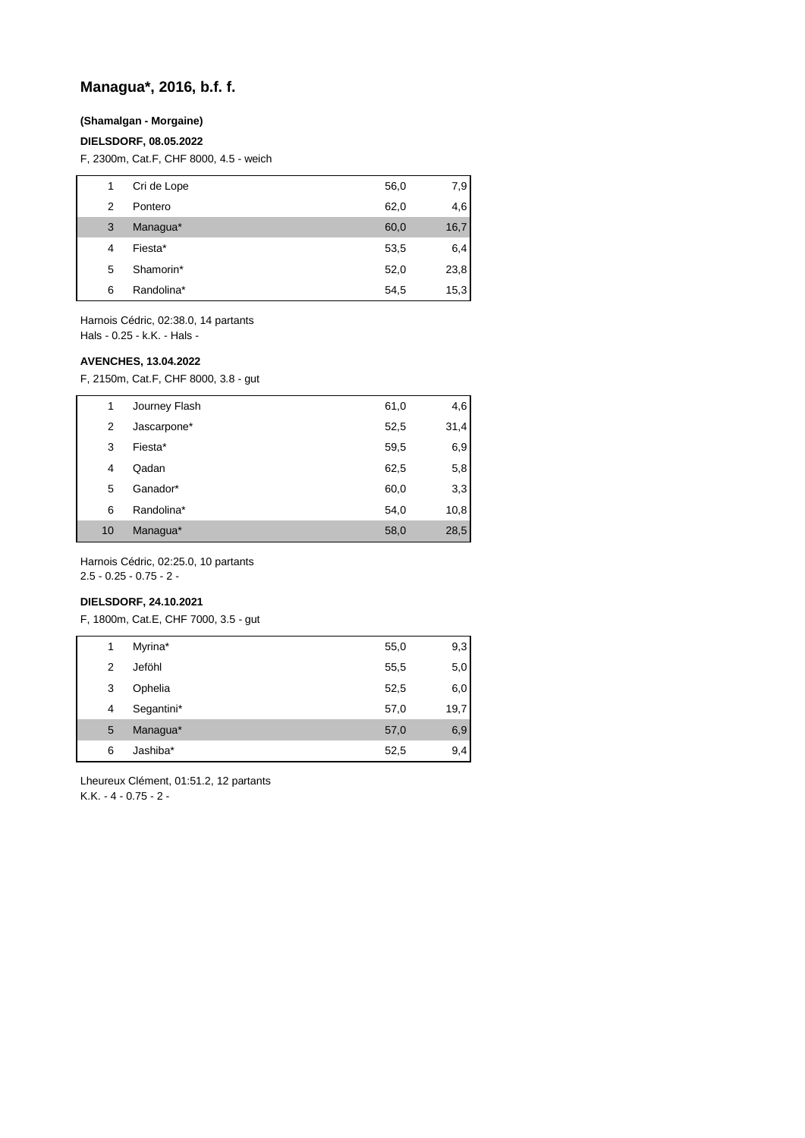# **Managua\*, 2016, b.f. f.**

## **(Shamalgan - Morgaine)**

### **DIELSDORF, 08.05.2022**

F, 2300m, Cat.F, CHF 8000, 4.5 - weich

| 1 | Cri de Lope | 56,0 | 7,9  |
|---|-------------|------|------|
| 2 | Pontero     | 62,0 | 4,6  |
| 3 | Managua*    | 60,0 | 16,7 |
| 4 | Fiesta*     | 53,5 | 6,4  |
| 5 | Shamorin*   | 52,0 | 23,8 |
| 6 | Randolina*  | 54,5 | 15,3 |
|   |             |      |      |

Harnois Cédric, 02:38.0, 14 partants Hals - 0.25 - k.K. - Hals -

#### **AVENCHES, 13.04.2022**

F, 2150m, Cat.F, CHF 8000, 3.8 - gut

| 1  | Journey Flash | 61,0 | 4,6  |
|----|---------------|------|------|
| 2  | Jascarpone*   | 52,5 | 31,4 |
| 3  | Fiesta*       | 59,5 | 6,9  |
| 4  | Qadan         | 62,5 | 5,8  |
| 5  | Ganador*      | 60,0 | 3,3  |
| 6  | Randolina*    | 54,0 | 10,8 |
| 10 | Managua*      | 58,0 | 28,5 |

Harnois Cédric, 02:25.0, 10 partants

2.5 - 0.25 - 0.75 - 2 -

# **DIELSDORF, 24.10.2021**

F, 1800m, Cat.E, CHF 7000, 3.5 - gut

| 1 | Myrina*    | 55,0 | 9,3  |
|---|------------|------|------|
| 2 | Jeföhl     | 55,5 | 5,0  |
| 3 | Ophelia    | 52,5 | 6,0  |
| 4 | Segantini* | 57,0 | 19,7 |
| 5 | Managua*   | 57,0 | 6,9  |
| 6 | Jashiba*   | 52,5 | 9,4  |

Lheureux Clément, 01:51.2, 12 partants K.K. - 4 - 0.75 - 2 -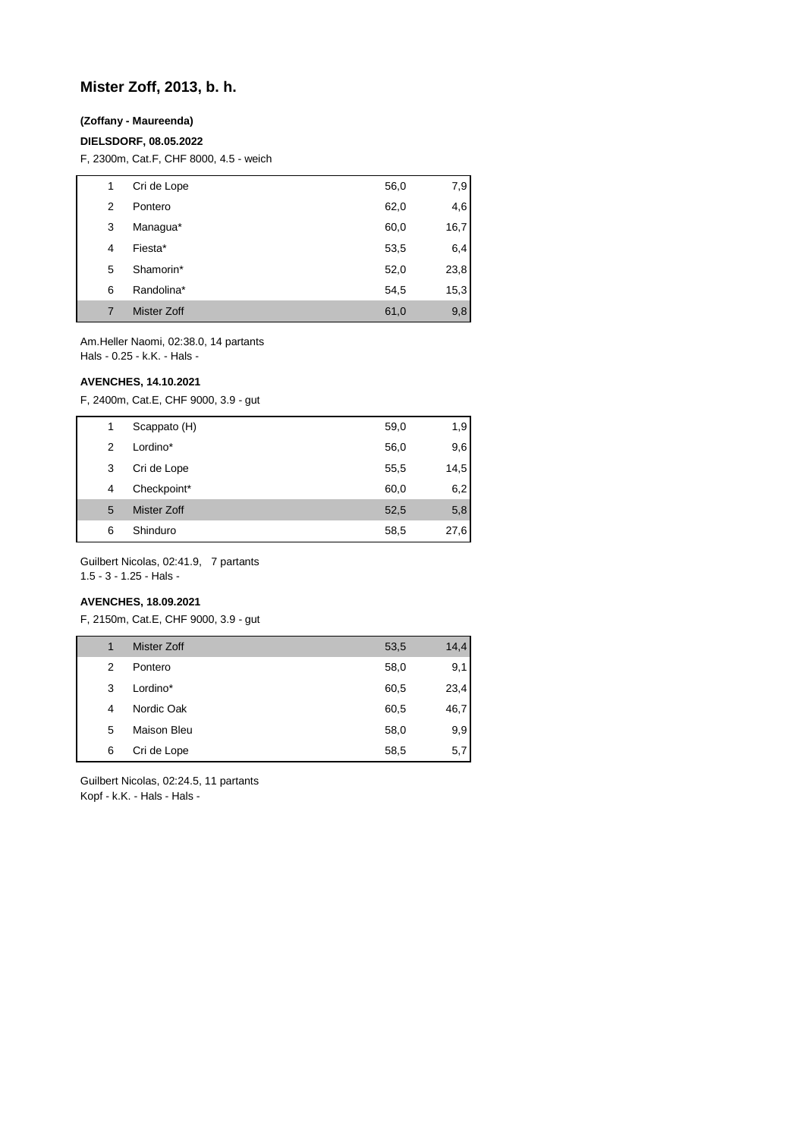# **Mister Zoff, 2013, b. h.**

## **(Zoffany - Maureenda)**

### **DIELSDORF, 08.05.2022**

F, 2300m, Cat.F, CHF 8000, 4.5 - weich

| 1 | Cri de Lope | 56,0 | 7,9  |
|---|-------------|------|------|
| 2 | Pontero     | 62,0 | 4,6  |
| 3 | Managua*    | 60,0 | 16,7 |
| 4 | Fiesta*     | 53,5 | 6,4  |
| 5 | Shamorin*   | 52,0 | 23,8 |
| 6 | Randolina*  | 54,5 | 15,3 |
| 7 | Mister Zoff | 61,0 | 9,8  |

Am.Heller Naomi, 02:38.0, 14 partants Hals - 0.25 - k.K. - Hals -

# **AVENCHES, 14.10.2021**

F, 2400m, Cat.E, CHF 9000, 3.9 - gut

| 1 | Scappato (H) | 59,0 | 1,9  |
|---|--------------|------|------|
| 2 | Lordino*     | 56,0 | 9,6  |
| 3 | Cri de Lope  | 55,5 | 14,5 |
| 4 | Checkpoint*  | 60,0 | 6,2  |
| 5 | Mister Zoff  | 52,5 | 5,8  |
| 6 | Shinduro     | 58,5 | 27,6 |

Guilbert Nicolas, 02:41.9, 7 partants

1.5 - 3 - 1.25 - Hals -

# **AVENCHES, 18.09.2021**

F, 2150m, Cat.E, CHF 9000, 3.9 - gut

| 1 | <b>Mister Zoff</b> | 53,5 | 14,4 |
|---|--------------------|------|------|
| 2 | Pontero            | 58,0 | 9,1  |
| 3 | Lordino*           | 60,5 | 23,4 |
| 4 | Nordic Oak         | 60,5 | 46,7 |
| 5 | Maison Bleu        | 58,0 | 9,9  |
| 6 | Cri de Lope        | 58,5 | 5,7  |

Guilbert Nicolas, 02:24.5, 11 partants Kopf - k.K. - Hals - Hals -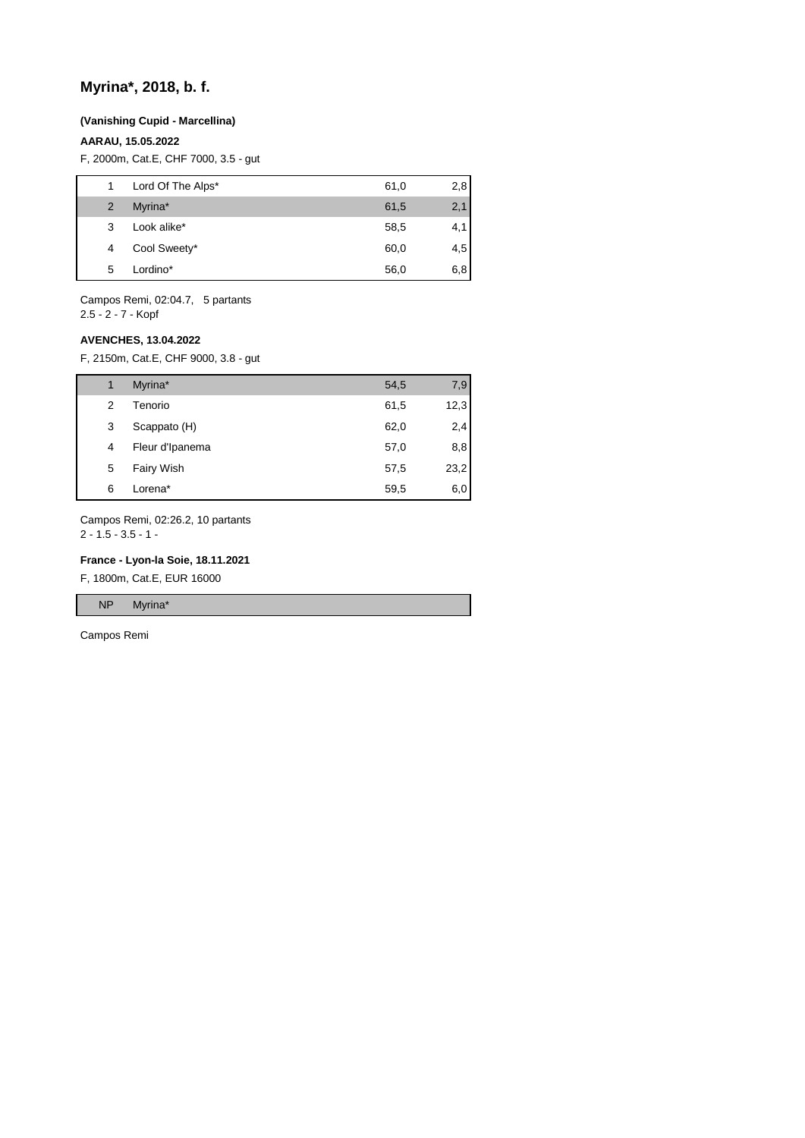# **Myrina\*, 2018, b. f.**

#### **(Vanishing Cupid - Marcellina)**

## **AARAU, 15.05.2022**

F, 2000m, Cat.E, CHF 7000, 3.5 - gut

| 1              | Lord Of The Alps* | 61,0 | 2,8 |
|----------------|-------------------|------|-----|
| $\overline{2}$ | Myrina*           | 61,5 | 2,1 |
| 3              | Look alike*       | 58,5 | 4,1 |
| 4              | Cool Sweety*      | 60,0 | 4,5 |
| 5              | Lordino*          | 56,0 | 6,8 |
|                |                   |      |     |

Campos Remi, 02:04.7, 5 partants 2.5 - 2 - 7 - Kopf

# **AVENCHES, 13.04.2022**

F, 2150m, Cat.E, CHF 9000, 3.8 - gut

| 1 | Myrina*           | 54,5 | 7,9  |
|---|-------------------|------|------|
| 2 | Tenorio           | 61,5 | 12,3 |
| 3 | Scappato (H)      | 62,0 | 2,4  |
| 4 | Fleur d'Ipanema   | 57,0 | 8,8  |
| 5 | <b>Fairy Wish</b> | 57,5 | 23,2 |
| 6 | Lorena*           | 59,5 | 6,0  |

Campos Remi, 02:26.2, 10 partants 2 - 1.5 - 3.5 - 1 -

#### **France - Lyon-la Soie, 18.11.2021**

F, 1800m, Cat.E, EUR 16000

NP Myrina\*

Campos Remi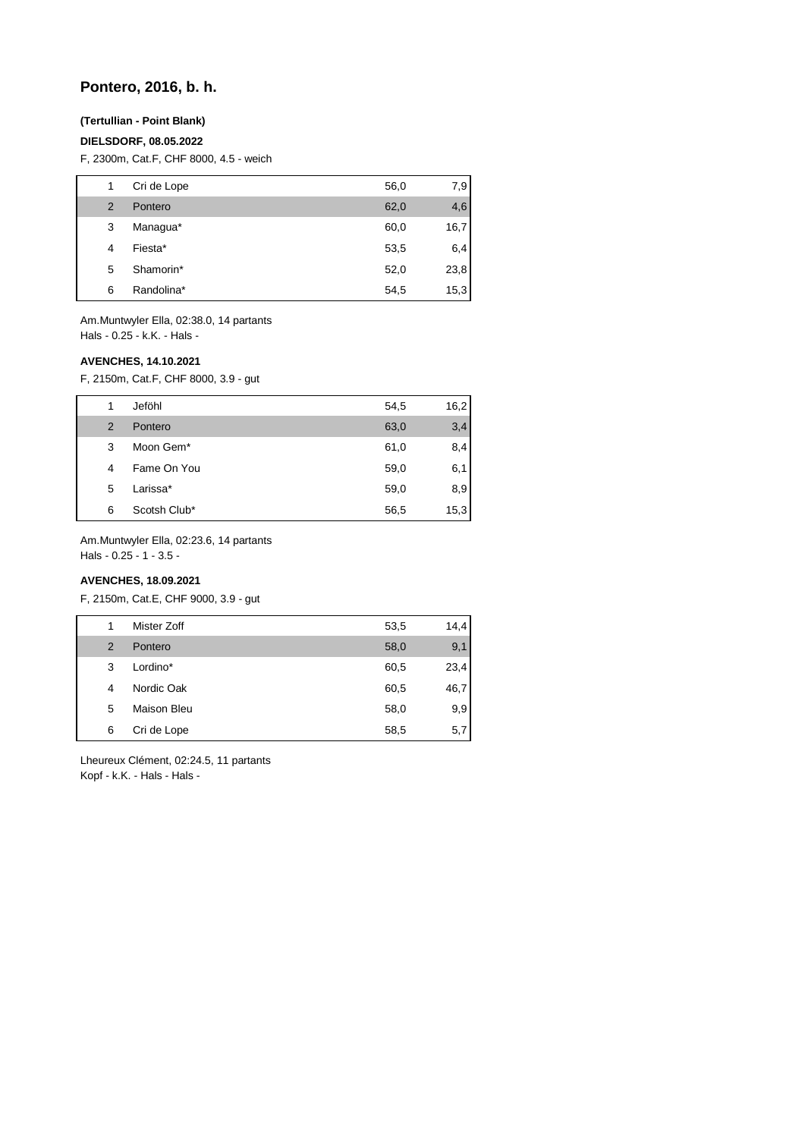# **Pontero, 2016, b. h.**

# **(Tertullian - Point Blank)**

## **DIELSDORF, 08.05.2022**

F, 2300m, Cat.F, CHF 8000, 4.5 - weich

| 1              | Cri de Lope | 56,0 | 7,9  |
|----------------|-------------|------|------|
| $\overline{2}$ | Pontero     | 62,0 | 4,6  |
| 3              | Managua*    | 60,0 | 16,7 |
| 4              | Fiesta*     | 53,5 | 6,4  |
| 5              | Shamorin*   | 52,0 | 23,8 |
| 6              | Randolina*  | 54,5 | 15,3 |

Am.Muntwyler Ella, 02:38.0, 14 partants Hals - 0.25 - k.K. - Hals -

#### **AVENCHES, 14.10.2021**

F, 2150m, Cat.F, CHF 8000, 3.9 - gut

|   | Jeföhl       | 54,5 | 16,2 |
|---|--------------|------|------|
| 2 | Pontero      | 63,0 | 3,4  |
| 3 | Moon Gem*    | 61,0 | 8,4  |
| 4 | Fame On You  | 59,0 | 6,1  |
| 5 | Larissa*     | 59,0 | 8,9  |
| 6 | Scotsh Club* | 56,5 | 15,3 |

Am.Muntwyler Ella, 02:23.6, 14 partants

Hals - 0.25 - 1 - 3.5 -

# **AVENCHES, 18.09.2021**

F, 2150m, Cat.E, CHF 9000, 3.9 - gut

| 1              | Mister Zoff | 53,5 | 14,4 |
|----------------|-------------|------|------|
| $\overline{2}$ | Pontero     | 58,0 | 9,1  |
| 3              | Lordino*    | 60,5 | 23,4 |
| 4              | Nordic Oak  | 60,5 | 46,7 |
| 5              | Maison Bleu | 58,0 | 9,9  |
| 6              | Cri de Lope | 58,5 | 5,7  |

Lheureux Clément, 02:24.5, 11 partants Kopf - k.K. - Hals - Hals -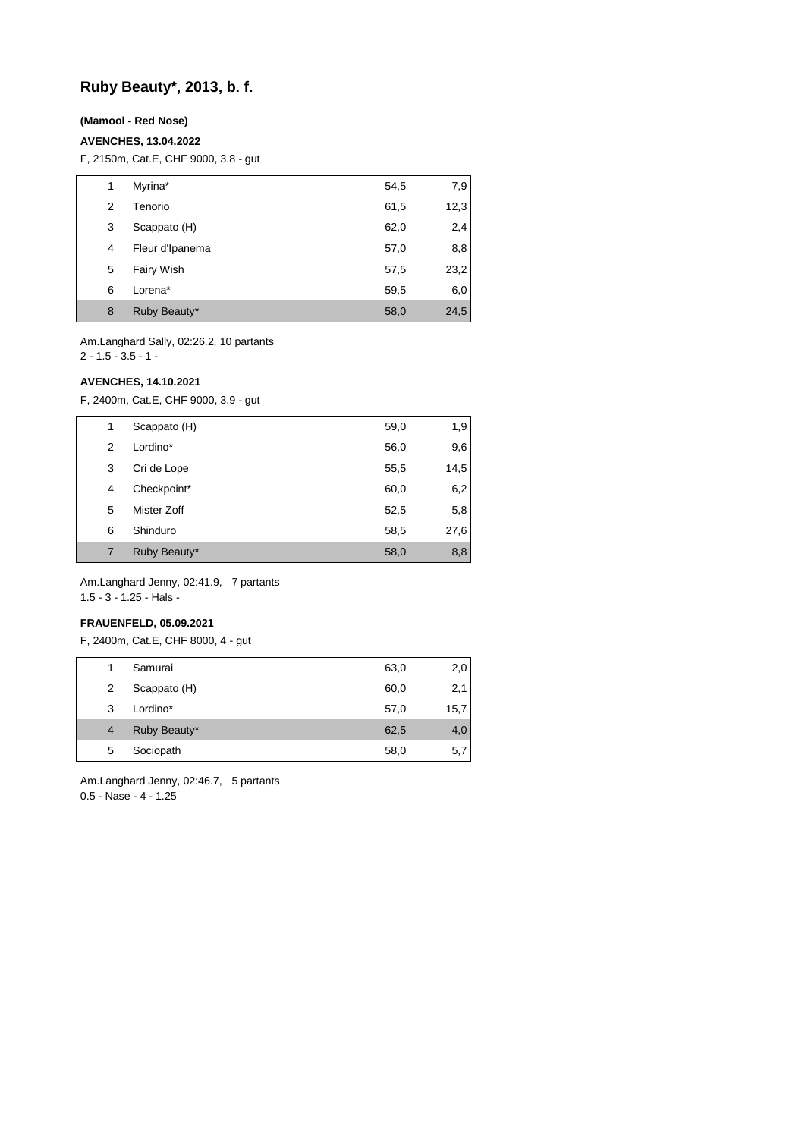# **Ruby Beauty\*, 2013, b. f.**

## **(Mamool - Red Nose)**

### **AVENCHES, 13.04.2022**

F, 2150m, Cat.E, CHF 9000, 3.8 - gut

| 1 | Myrina*           | 54,5 | 7,9  |
|---|-------------------|------|------|
| 2 | Tenorio           | 61,5 | 12,3 |
| 3 | Scappato (H)      | 62,0 | 2,4  |
| 4 | Fleur d'Ipanema   | 57,0 | 8,8  |
| 5 | <b>Fairy Wish</b> | 57,5 | 23,2 |
| 6 | Lorena*           | 59,5 | 6,0  |
| 8 | Ruby Beauty*      | 58,0 | 24,5 |

Am.Langhard Sally, 02:26.2, 10 partants 2 - 1.5 - 3.5 - 1 -

## **AVENCHES, 14.10.2021**

F, 2400m, Cat.E, CHF 9000, 3.9 - gut

| 1 | Scappato (H) | 59,0 | 1,9  |
|---|--------------|------|------|
| 2 | Lordino*     | 56,0 | 9,6  |
| 3 | Cri de Lope  | 55,5 | 14,5 |
| 4 | Checkpoint*  | 60,0 | 6,2  |
| 5 | Mister Zoff  | 52,5 | 5,8  |
| 6 | Shinduro     | 58,5 | 27,6 |
|   | Ruby Beauty* | 58,0 | 8,8  |
|   |              |      |      |

Am.Langhard Jenny, 02:41.9, 7 partants 1.5 - 3 - 1.25 - Hals -

## **FRAUENFELD, 05.09.2021**

F, 2400m, Cat.E, CHF 8000, 4 - gut

| 1              | Samurai      | 63,0 | 2,0  |
|----------------|--------------|------|------|
| 2              | Scappato (H) | 60,0 | 2,1  |
| 3              | Lordino*     | 57,0 | 15,7 |
| $\overline{4}$ | Ruby Beauty* | 62,5 | 4,0  |
| 5              | Sociopath    | 58,0 | 5,7  |
|                |              |      |      |

Am.Langhard Jenny, 02:46.7, 5 partants 0.5 - Nase - 4 - 1.25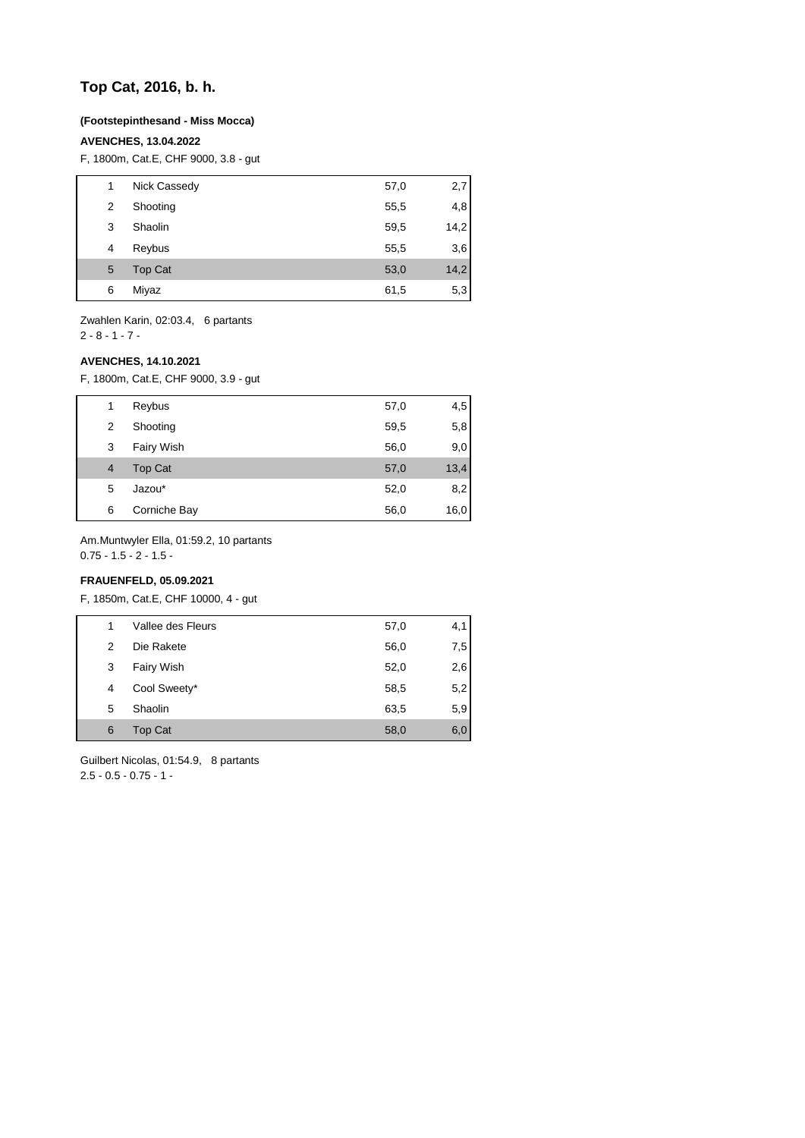# **Top Cat, 2016, b. h.**

## **(Footstepinthesand - Miss Mocca)**

### **AVENCHES, 13.04.2022**

F, 1800m, Cat.E, CHF 9000, 3.8 - gut

| 1 | Nick Cassedy   | 57,0 | 2,7  |
|---|----------------|------|------|
| 2 | Shooting       | 55,5 | 4,8  |
| 3 | Shaolin        | 59,5 | 14,2 |
| 4 | Reybus         | 55,5 | 3,6  |
| 5 | <b>Top Cat</b> | 53,0 | 14,2 |
| 6 | Miyaz          | 61,5 | 5,3  |

Zwahlen Karin, 02:03.4, 6 partants  $2 - 8 - 1 - 7 -$ 

#### **AVENCHES, 14.10.2021**

F, 1800m, Cat.E, CHF 9000, 3.9 - gut

| 1              | Reybus            | 57,0 | 4,5  |
|----------------|-------------------|------|------|
| 2              | Shooting          | 59,5 | 5,8  |
| 3              | <b>Fairy Wish</b> | 56,0 | 9,0  |
| $\overline{4}$ | <b>Top Cat</b>    | 57,0 | 13,4 |
| 5              | Jazou*            | 52,0 | 8,2  |
| 6              | Corniche Bay      | 56,0 | 16,0 |

Am.Muntwyler Ella, 01:59.2, 10 partants

 $0.75 - 1.5 - 2 - 1.5 -$ 

# **FRAUENFELD, 05.09.2021**

F, 1850m, Cat.E, CHF 10000, 4 - gut

| 1 | Vallee des Fleurs | 57,0 | 4,1  |
|---|-------------------|------|------|
| 2 | Die Rakete        | 56,0 | 7,51 |
| 3 | <b>Fairy Wish</b> | 52,0 | 2,6  |
| 4 | Cool Sweety*      | 58,5 | 5,2  |
| 5 | Shaolin           | 63,5 | 5,9  |
| 6 | <b>Top Cat</b>    | 58,0 | 6,0  |

Guilbert Nicolas, 01:54.9, 8 partants 2.5 - 0.5 - 0.75 - 1 -